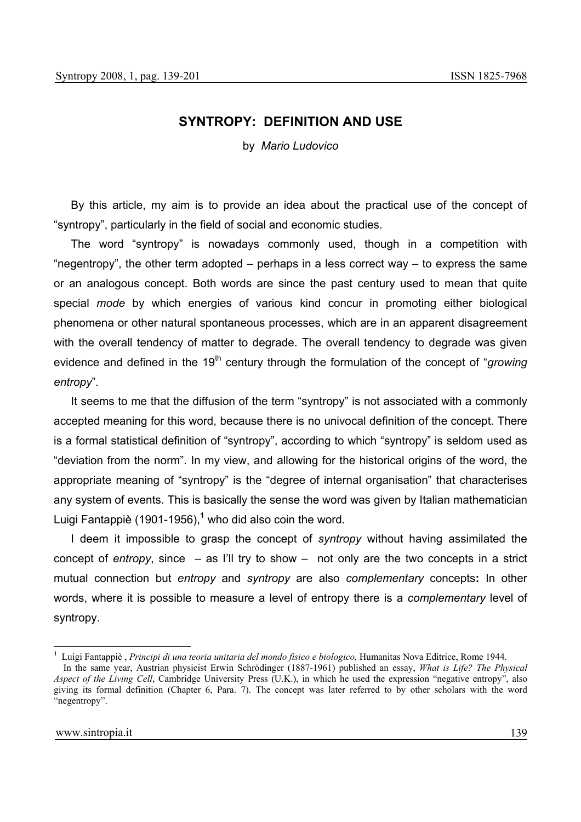# **SYNTROPY: DEFINITION AND USE**

by *Mario Ludovico* 

By this article, my aim is to provide an idea about the practical use of the concept of "syntropy", particularly in the field of social and economic studies.

The word "syntropy" is nowadays commonly used, though in a competition with "negentropy", the other term adopted  $-$  perhaps in a less correct way  $-$  to express the same or an analogous concept. Both words are since the past century used to mean that quite special *mode* by which energies of various kind concur in promoting either biological phenomena or other natural spontaneous processes, which are in an apparent disagreement with the overall tendency of matter to degrade. The overall tendency to degrade was given evidence and defined in the 19<sup>th</sup> century through the formulation of the concept of "*growing entropy*"*.*

It seems to me that the diffusion of the term "syntropy" is not associated with a commonly accepted meaning for this word, because there is no univocal definition of the concept. There is a formal statistical definition of "syntropy", according to which "syntropy" is seldom used as "deviation from the norm". In my view, and allowing for the historical origins of the word, the appropriate meaning of "syntropy" is the "degree of internal organisation" that characterises any system of events. This is basically the sense the word was given by Italian mathematician Luigi Fantappiè (1901-1956),**<sup>1</sup>** who did also coin the word.

I deem it impossible to grasp the concept of *syntropy* without having assimilated the concept of *entropy*, since – as I'll try to show – not only are the two concepts in a strict mutual connection but *entropy* and *syntropy* are also *complementary* concepts**:** In other words, where it is possible to measure a level of entropy there is a *complementary* level of syntropy.

 $\overline{a}$ 

**<sup>1</sup>** Luigi Fantappiè , *Principi di una teoria unitaria del mondo fisico e biologico,* Humanitas Nova Editrice, Rome 1944.

In the same year, Austrian physicist Erwin Schrödinger (1887-1961) published an essay, *What is Life? The Physical Aspect of the Living Cell*, Cambridge University Press (U.K.), in which he used the expression "negative entropy", also giving its formal definition (Chapter 6, Para. 7). The concept was later referred to by other scholars with the word "negentropy".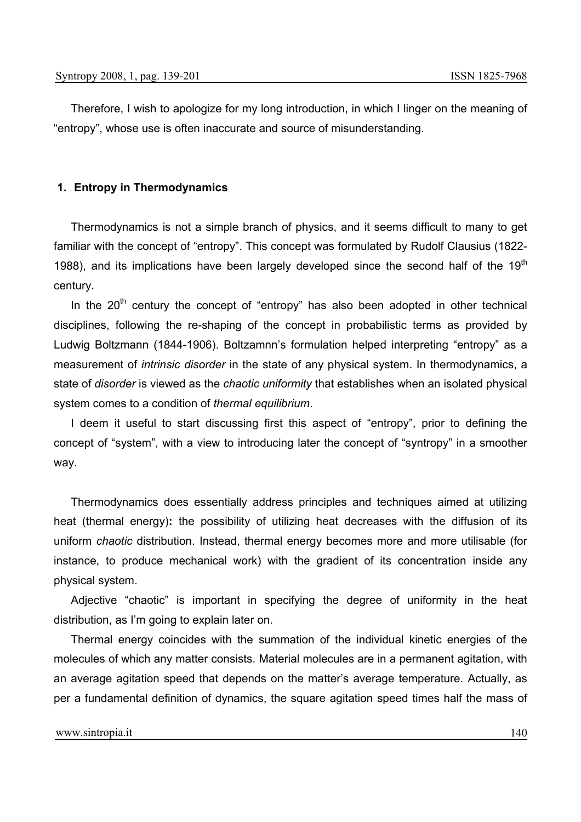Therefore, I wish to apologize for my long introduction, in which I linger on the meaning of "entropy", whose use is often inaccurate and source of misunderstanding.

## **1. Entropy in Thermodynamics**

Thermodynamics is not a simple branch of physics, and it seems difficult to many to get familiar with the concept of "entropy". This concept was formulated by Rudolf Clausius (1822- 1988), and its implications have been largely developed since the second half of the 19<sup>th</sup> century.

In the  $20<sup>th</sup>$  century the concept of "entropy" has also been adopted in other technical disciplines, following the re-shaping of the concept in probabilistic terms as provided by Ludwig Boltzmann (1844-1906). Boltzamnn's formulation helped interpreting "entropy" as a measurement of *intrinsic disorder* in the state of any physical system. In thermodynamics, a state of *disorder* is viewed as the *chaotic uniformity* that establishes when an isolated physical system comes to a condition of *thermal equilibrium*.

I deem it useful to start discussing first this aspect of "entropy", prior to defining the concept of "system", with a view to introducing later the concept of "syntropy" in a smoother way.

Thermodynamics does essentially address principles and techniques aimed at utilizing heat (thermal energy)**:** the possibility of utilizing heat decreases with the diffusion of its uniform *chaotic* distribution. Instead, thermal energy becomes more and more utilisable (for instance, to produce mechanical work) with the gradient of its concentration inside any physical system.

Adjective "chaotic" is important in specifying the degree of uniformity in the heat distribution, as I'm going to explain later on.

Thermal energy coincides with the summation of the individual kinetic energies of the molecules of which any matter consists. Material molecules are in a permanent agitation, with an average agitation speed that depends on the matter's average temperature. Actually, as per a fundamental definition of dynamics, the square agitation speed times half the mass of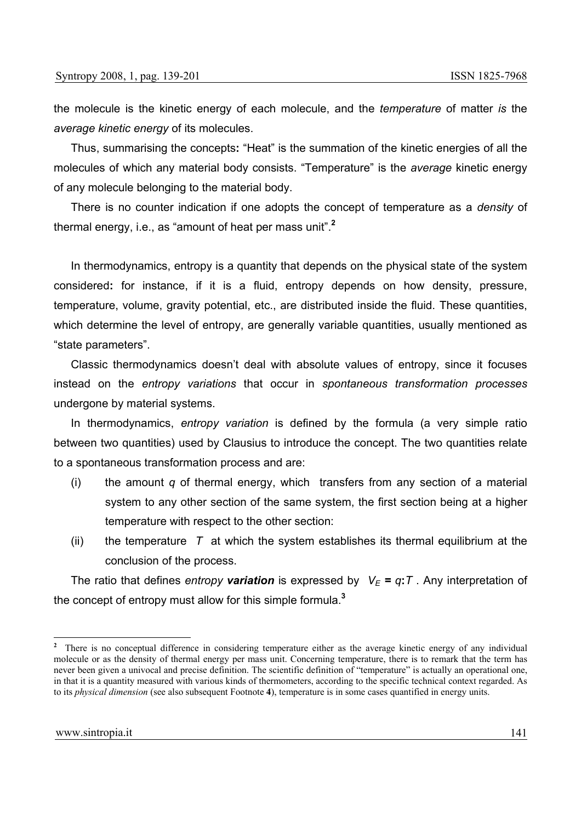the molecule is the kinetic energy of each molecule, and the *temperature* of matter *is* the *average kinetic energy* of its molecules.

Thus, summarising the concepts**:** "Heat" is the summation of the kinetic energies of all the molecules of which any material body consists. "Temperature" is the *average* kinetic energy of any molecule belonging to the material body.

There is no counter indication if one adopts the concept of temperature as a *density* of thermal energy, i.e., as "amount of heat per mass unit".**<sup>2</sup>**

In thermodynamics, entropy is a quantity that depends on the physical state of the system considered**:** for instance, if it is a fluid, entropy depends on how density, pressure, temperature, volume, gravity potential, etc., are distributed inside the fluid. These quantities, which determine the level of entropy, are generally variable quantities, usually mentioned as "state parameters".

Classic thermodynamics doesn't deal with absolute values of entropy, since it focuses instead on the *entropy variations* that occur in *spontaneous transformation processes* undergone by material systems.

In thermodynamics, *entropy variation* is defined by the formula (a very simple ratio between two quantities) used by Clausius to introduce the concept. The two quantities relate to a spontaneous transformation process and are:

- (i) the amount *q* of thermal energy, which transfers from any section of a material system to any other section of the same system, the first section being at a higher temperature with respect to the other section:
- (ii) the temperature *T* at which the system establishes its thermal equilibrium at the conclusion of the process.

The ratio that defines *entropy* variation is expressed by  $V_E = q$ : *T*. Any interpretation of the concept of entropy must allow for this simple formula.**<sup>3</sup>**

<sup>&</sup>lt;sup>2</sup> There is no conceptual difference in considering temperature either as the average kinetic energy of any individual molecule or as the density of thermal energy per mass unit. Concerning temperature, there is to remark that the term has never been given a univocal and precise definition. The scientific definition of "temperature" is actually an operational one, in that it is a quantity measured with various kinds of thermometers, according to the specific technical context regarded. As to its *physical dimension* (see also subsequent Footnote **4**), temperature is in some cases quantified in energy units.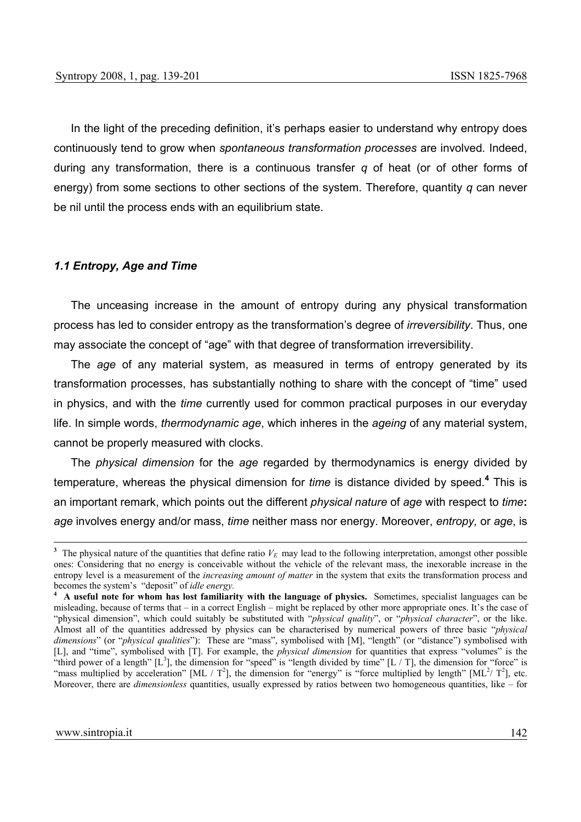In the light of the preceding definition, it's perhaps easier to understand why entropy does continuously tend to grow when *spontaneous transformation processes* are involved*.* Indeed, during any transformation, there is a continuous transfer *q* of heat (or of other forms of energy) from some sections to other sections of the system. Therefore, quantity *q* can never be nil until the process ends with an equilibrium state.

## *1.1 Entropy, Age and Time*

The unceasing increase in the amount of entropy during any physical transformation process has led to consider entropy as the transformation's degree of *irreversibility*. Thus, one may associate the concept of "age" with that degree of transformation irreversibility.

The *age* of any material system, as measured in terms of entropy generated by its transformation processes, has substantially nothing to share with the concept of "time" used in physics, and with the *time* currently used for common practical purposes in our everyday life. In simple words, *thermodynamic age*, which inheres in the *ageing* of any material system, cannot be properly measured with clocks.

The *physical dimension* for the *age* regarded by thermodynamics is energy divided by temperature, whereas the physical dimension for *time* is distance divided by speed.**<sup>4</sup>** This is an important remark, which points out the different *physical nature* of *age* with respect to *time***:** *age* involves energy and/or mass, *time* neither mass nor energy. Moreover, *entropy,* or *age*, is

<sup>&</sup>lt;sup>3</sup> The physical nature of the quantities that define ratio  $V_E$  may lead to the following interpretation, amongst other possible ones: Considering that no energy is conceivable without the vehicle of the relevant mass, the inexorable increase in the entropy level is a measurement of the *increasing amount of matter* in the system that exits the transformation process and becomes the system's "deposit" of *idle energy.* **4 A useful note for whom has lost familiarity with the language of physics.** Sometimes, specialist languages can be

misleading, because of terms that – in a correct English – might be replaced by other more appropriate ones. It's the case of "physical dimension", which could suitably be substituted with "*physical quality*", or "*physical character*", or the like. Almost all of the quantities addressed by physics can be characterised by numerical powers of three basic "*physical dimensions*" (or "*physical qualities*"): These are "mass", symbolised with [M], "length" (or "distance") symbolised with [L], and "time", symbolised with [T]. For example, the *physical dimension* for quantities that express "volumes" is the "third power of a length"  $[L^3]$ , the dimension for "speed" is "length divided by time"  $[L/T]$ , the dimension for "force" is "mass multiplied by acceleration" [ML /  $T^2$ ], the dimension for "energy" is "force multiplied by length" [ML<sup>2</sup>/  $T^2$ ], etc. Moreover, there are *dimensionless* quantities, usually expressed by ratios between two homogeneous quantities, like – for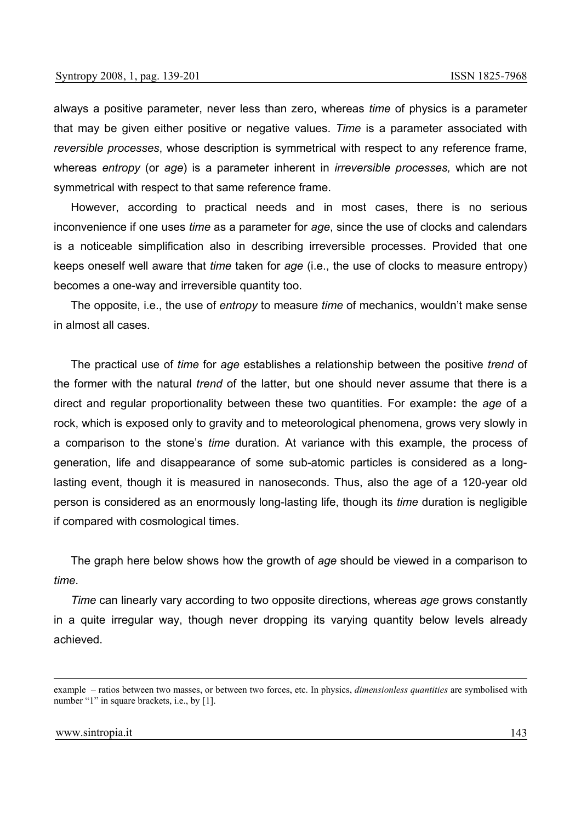always a positive parameter, never less than zero, whereas *time* of physics is a parameter that may be given either positive or negative values. *Time* is a parameter associated with *reversible processes*, whose description is symmetrical with respect to any reference frame, whereas *entropy* (or *age*) is a parameter inherent in *irreversible processes,* which are not symmetrical with respect to that same reference frame.

However, according to practical needs and in most cases, there is no serious inconvenience if one uses *time* as a parameter for *age*, since the use of clocks and calendars is a noticeable simplification also in describing irreversible processes. Provided that one keeps oneself well aware that *time* taken for *age* (i.e., the use of clocks to measure entropy) becomes a one-way and irreversible quantity too.

The opposite, i.e., the use of *entropy* to measure *time* of mechanics, wouldn't make sense in almost all cases.

The practical use of *time* for *age* establishes a relationship between the positive *trend* of the former with the natural *trend* of the latter, but one should never assume that there is a direct and regular proportionality between these two quantities. For example**:** the *age* of a rock, which is exposed only to gravity and to meteorological phenomena, grows very slowly in a comparison to the stone's *time* duration. At variance with this example, the process of generation, life and disappearance of some sub-atomic particles is considered as a longlasting event, though it is measured in nanoseconds. Thus, also the age of a 120-year old person is considered as an enormously long-lasting life, though its *time* duration is negligible if compared with cosmological times.

The graph here below shows how the growth of *age* should be viewed in a comparison to *time*.

*Time* can linearly vary according to two opposite directions, whereas *age* grows constantly in a quite irregular way, though never dropping its varying quantity below levels already achieved.

example – ratios between two masses, or between two forces, etc. In physics, *dimensionless quantities* are symbolised with number "1" in square brackets, i.e., by [1].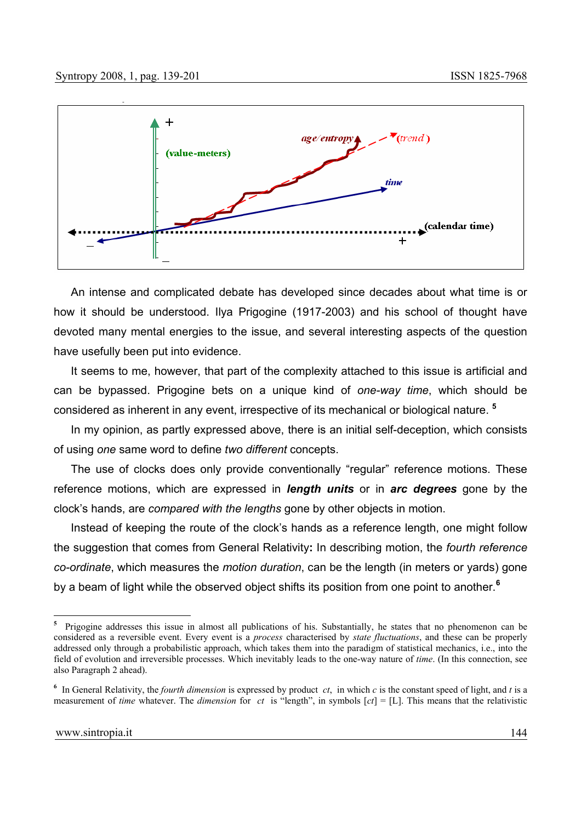

An intense and complicated debate has developed since decades about what time is or how it should be understood. Ilya Prigogine (1917-2003) and his school of thought have devoted many mental energies to the issue, and several interesting aspects of the question have usefully been put into evidence.

It seems to me, however, that part of the complexity attached to this issue is artificial and can be bypassed. Prigogine bets on a unique kind of *one-way time*, which should be considered as inherent in any event, irrespective of its mechanical or biological nature. **<sup>5</sup>**

In my opinion, as partly expressed above, there is an initial self-deception, which consists of using *one* same word to define *two different* concepts.

The use of clocks does only provide conventionally "regular" reference motions. These reference motions, which are expressed in *length units* or in *arc degrees* gone by the clock's hands, are *compared with the lengths* gone by other objects in motion.

Instead of keeping the route of the clock's hands as a reference length, one might follow the suggestion that comes from General Relativity**:** In describing motion, the *fourth reference co-ordinate*, which measures the *motion duration*, can be the length (in meters or yards) gone by a beam of light while the observed object shifts its position from one point to another.**<sup>6</sup>** 

 $\overline{\mathbf{5}}$ **<sup>5</sup>** Prigogine addresses this issue in almost all publications of his. Substantially, he states that no phenomenon can be considered as a reversible event. Every event is a *process* characterised by *state fluctuations*, and these can be properly addressed only through a probabilistic approach, which takes them into the paradigm of statistical mechanics, i.e., into the field of evolution and irreversible processes. Which inevitably leads to the one-way nature of *time*. (In this connection, see also Paragraph 2 ahead).

**<sup>6</sup>** In General Relativity, the *fourth dimension* is expressed by product *ct*, in which *c* is the constant speed of light, and *t* is a measurement of *time* whatever. The *dimension* for *ct* is "length", in symbols [*ct*] = [L]. This means that the relativistic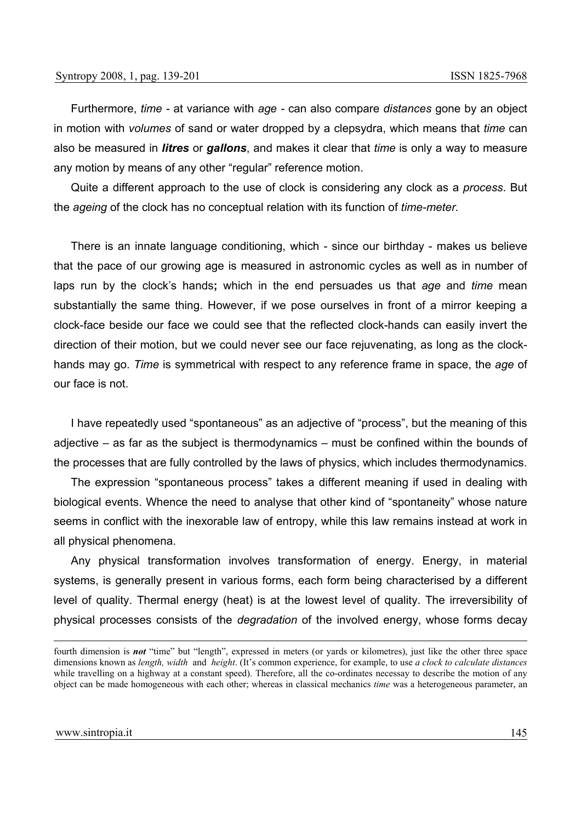Furthermore, *time -* at variance with *age -* can also compare *distances* gone by an object in motion with *volumes* of sand or water dropped by a clepsydra, which means that *time* can also be measured in *litres* or *gallons*, and makes it clear that *time* is only a way to measure any motion by means of any other "regular" reference motion.

Quite a different approach to the use of clock is considering any clock as a *process*. But the *ageing* of the clock has no conceptual relation with its function of *time-meter.*

There is an innate language conditioning, which - since our birthday - makes us believe that the pace of our growing age is measured in astronomic cycles as well as in number of laps run by the clock's hands**;** which in the end persuades us that *age* and *time* mean substantially the same thing. However, if we pose ourselves in front of a mirror keeping a clock-face beside our face we could see that the reflected clock-hands can easily invert the direction of their motion, but we could never see our face rejuvenating, as long as the clockhands may go. *Time* is symmetrical with respect to any reference frame in space, the *age* of our face is not.

I have repeatedly used "spontaneous" as an adjective of "process", but the meaning of this adjective – as far as the subject is thermodynamics – must be confined within the bounds of the processes that are fully controlled by the laws of physics, which includes thermodynamics.

The expression "spontaneous process" takes a different meaning if used in dealing with biological events. Whence the need to analyse that other kind of "spontaneity" whose nature seems in conflict with the inexorable law of entropy, while this law remains instead at work in all physical phenomena.

Any physical transformation involves transformation of energy. Energy, in material systems, is generally present in various forms, each form being characterised by a different level of quality. Thermal energy (heat) is at the lowest level of quality. The irreversibility of physical processes consists of the *degradation* of the involved energy, whose forms decay

fourth dimension is **not** "time" but "length", expressed in meters (or yards or kilometres), just like the other three space dimensions known as *length, width* and *height*. (It's common experience, for example, to use *a clock to calculate distances* while travelling on a highway at a constant speed). Therefore, all the co-ordinates necessay to describe the motion of any object can be made homogeneous with each other; whereas in classical mechanics *time* was a heterogeneous parameter, an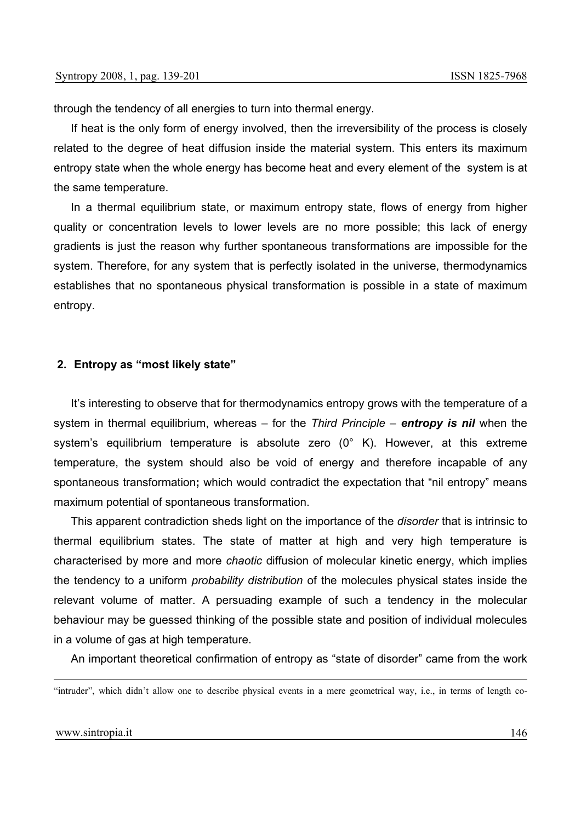through the tendency of all energies to turn into thermal energy.

If heat is the only form of energy involved, then the irreversibility of the process is closely related to the degree of heat diffusion inside the material system. This enters its maximum entropy state when the whole energy has become heat and every element of the system is at the same temperature.

In a thermal equilibrium state, or maximum entropy state, flows of energy from higher quality or concentration levels to lower levels are no more possible; this lack of energy gradients is just the reason why further spontaneous transformations are impossible for the system. Therefore, for any system that is perfectly isolated in the universe, thermodynamics establishes that no spontaneous physical transformation is possible in a state of maximum entropy.

#### **2. Entropy as "most likely state"**

It's interesting to observe that for thermodynamics entropy grows with the temperature of a system in thermal equilibrium, whereas – for the *Third Principle* – *entropy is nil* when the system's equilibrium temperature is absolute zero (0° K). However, at this extreme temperature, the system should also be void of energy and therefore incapable of any spontaneous transformation**;** which would contradict the expectation that "nil entropy" means maximum potential of spontaneous transformation.

This apparent contradiction sheds light on the importance of the *disorder* that is intrinsic to thermal equilibrium states. The state of matter at high and very high temperature is characterised by more and more *chaotic* diffusion of molecular kinetic energy, which implies the tendency to a uniform *probability distribution* of the molecules physical states inside the relevant volume of matter. A persuading example of such a tendency in the molecular behaviour may be guessed thinking of the possible state and position of individual molecules in a volume of gas at high temperature.

An important theoretical confirmation of entropy as "state of disorder" came from the work

 <sup>&</sup>quot;intruder", which didn't allow one to describe physical events in a mere geometrical way, i.e., in terms of length co-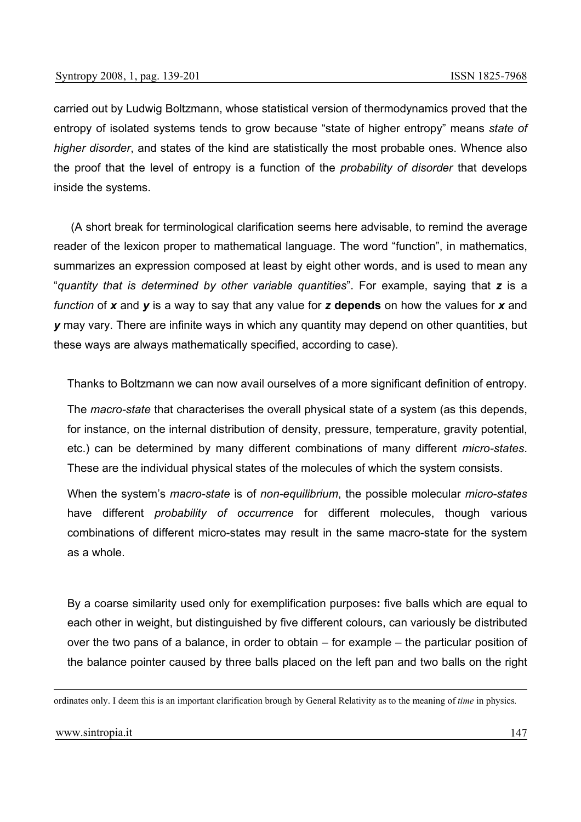carried out by Ludwig Boltzmann, whose statistical version of thermodynamics proved that the entropy of isolated systems tends to grow because "state of higher entropy" means *state of higher disorder*, and states of the kind are statistically the most probable ones. Whence also the proof that the level of entropy is a function of the *probability of disorder* that develops inside the systems.

(A short break for terminological clarification seems here advisable, to remind the average reader of the lexicon proper to mathematical language. The word "function", in mathematics, summarizes an expression composed at least by eight other words, and is used to mean any "*quantity that is determined by other variable quantities*". For example, saying that *z* is a *function* of *x* and *y* is a way to say that any value for *z* **depends** on how the values for *x* and *y* may vary. There are infinite ways in which any quantity may depend on other quantities, but these ways are always mathematically specified, according to case).

Thanks to Boltzmann we can now avail ourselves of a more significant definition of entropy.

The *macro-state* that characterises the overall physical state of a system (as this depends, for instance, on the internal distribution of density, pressure, temperature, gravity potential, etc.) can be determined by many different combinations of many different *micro-states*. These are the individual physical states of the molecules of which the system consists.

When the system's *macro-state* is of *non-equilibrium*, the possible molecular *micro-states* have different *probability of occurrence* for different molecules, though various combinations of different micro-states may result in the same macro-state for the system as a whole.

By a coarse similarity used only for exemplification purposes**:** five balls which are equal to each other in weight, but distinguished by five different colours, can variously be distributed over the two pans of a balance, in order to obtain – for example – the particular position of the balance pointer caused by three balls placed on the left pan and two balls on the right

ordinates only. I deem this is an important clarification brough by General Relativity as to the meaning of *time* in physics*.*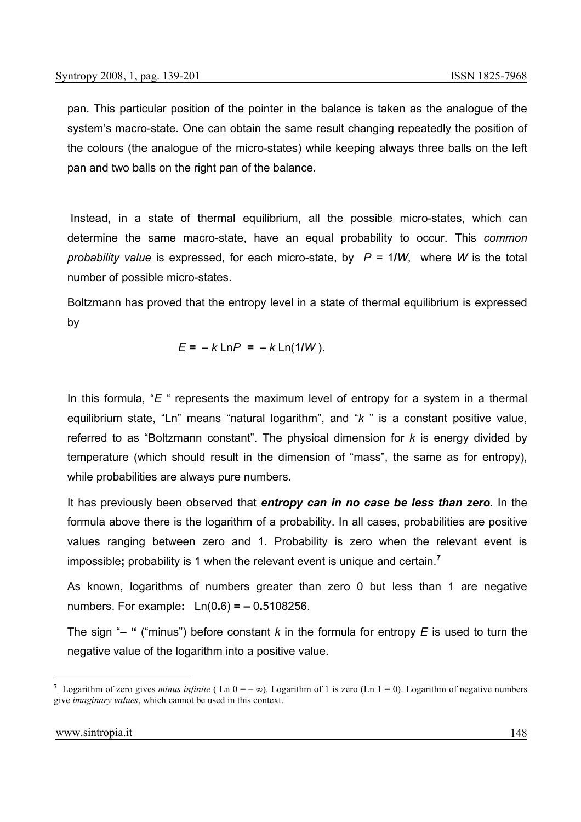pan. This particular position of the pointer in the balance is taken as the analogue of the system's macro-state. One can obtain the same result changing repeatedly the position of the colours (the analogue of the micro-states) while keeping always three balls on the left pan and two balls on the right pan of the balance.

 Instead, in a state of thermal equilibrium, all the possible micro-states, which can determine the same macro-state, have an equal probability to occur. This *common probability value* is expressed, for each micro-state, by *P =* 1**/***W*, where *W* is the total number of possible micro-states.

Boltzmann has proved that the entropy level in a state of thermal equilibrium is expressed by

$$
E = -k \ln P = -k \ln(1/W)
$$
.

In this formula, "*E* " represents the maximum level of entropy for a system in a thermal equilibrium state, "Ln" means "natural logarithm", and "*k* " is a constant positive value, referred to as "Boltzmann constant". The physical dimension for *k* is energy divided by temperature (which should result in the dimension of "mass", the same as for entropy), while probabilities are always pure numbers.

It has previously been observed that *entropy can in no case be less than zero.* In the formula above there is the logarithm of a probability. In all cases, probabilities are positive values ranging between zero and 1. Probability is zero when the relevant event is impossible**;** probability is 1 when the relevant event is unique and certain.**<sup>7</sup>**

As known, logarithms of numbers greater than zero 0 but less than 1 are negative numbers. For example**:** Ln(0**.**6) **=** *–* 0**.**5108256.

The sign "*–* **"** ("minus") before constant *k* in the formula for entropy *E* is used to turn the negative value of the logarithm into a positive value.

<sup>&</sup>lt;sup>7</sup> Logarithm of zero gives *minus infinite* (Ln  $0 = -\infty$ ). Logarithm of 1 is zero (Ln  $1 = 0$ ). Logarithm of negative numbers give *imaginary values*, which cannot be used in this context.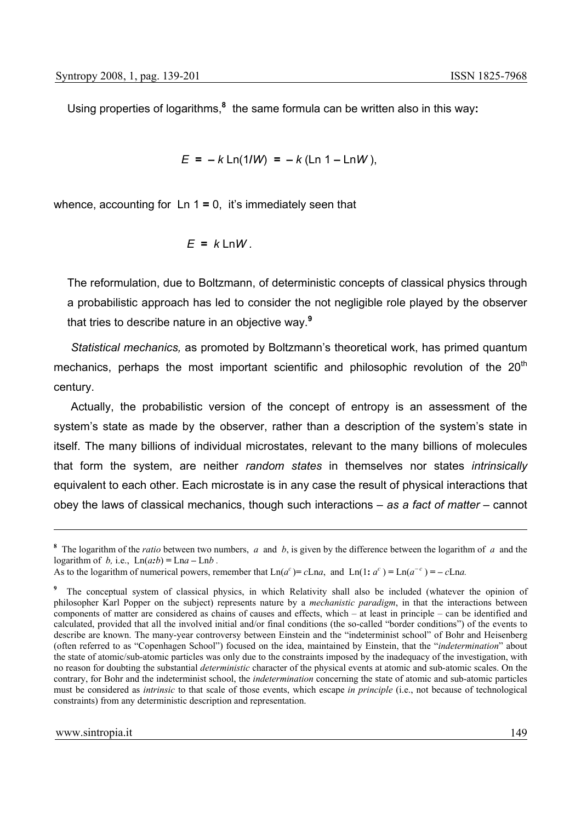Using properties of logarithms,**<sup>8</sup>** the same formula can be written also in this way**:**

$$
E = -k \ln(1/W) = -k (\ln 1 - \ln W),
$$

whence, accounting for Ln 1 **=** 0, it's immediately seen that

$$
E = k \ln W.
$$

The reformulation, due to Boltzmann, of deterministic concepts of classical physics through a probabilistic approach has led to consider the not negligible role played by the observer that tries to describe nature in an objective way.**<sup>9</sup>**

*Statistical mechanics,* as promoted by Boltzmann's theoretical work, has primed quantum mechanics, perhaps the most important scientific and philosophic revolution of the  $20<sup>th</sup>$ century.

Actually, the probabilistic version of the concept of entropy is an assessment of the system's state as made by the observer, rather than a description of the system's state in itself. The many billions of individual microstates, relevant to the many billions of molecules that form the system, are neither *random states* in themselves nor states *intrinsically* equivalent to each other. Each microstate is in any case the result of physical interactions that obey the laws of classical mechanics, though such interactions – *as a fact of matter –* cannot

**<sup>8</sup>** The logarithm of the *ratio* between two numbers, *a* and *b*, is given by the difference between the logarithm of *a* and the logarithm of *b*, i.e.,  $Ln(a:b) = Lna - Lnb$ .

As to the logarithm of numerical powers, remember that  $\text{Ln}(a^c) = c\text{Ln}a$ , and  $\text{Ln}(1: a^c) = \text{Ln}(a^{-c}) = -c\text{Ln}a$ .

<sup>&</sup>lt;sup>9</sup> The conceptual system of classical physics, in which Relativity shall also be included (whatever the opinion of philosopher Karl Popper on the subject) represents nature by a *mechanistic paradigm*, in that the interactions between components of matter are considered as chains of causes and effects, which – at least in principle – can be identified and calculated, provided that all the involved initial and/or final conditions (the so-called "border conditions") of the events to describe are known. The many-year controversy between Einstein and the "indeterminist school" of Bohr and Heisenberg (often referred to as "Copenhagen School") focused on the idea, maintained by Einstein, that the "*indetermination*" about the state of atomic/sub-atomic particles was only due to the constraints imposed by the inadequacy of the investigation, with no reason for doubting the substantial *deterministic* character of the physical events at atomic and sub-atomic scales. On the contrary, for Bohr and the indeterminist school, the *indetermination* concerning the state of atomic and sub-atomic particles must be considered as *intrinsic* to that scale of those events, which escape *in principle* (i.e., not because of technological constraints) from any deterministic description and representation.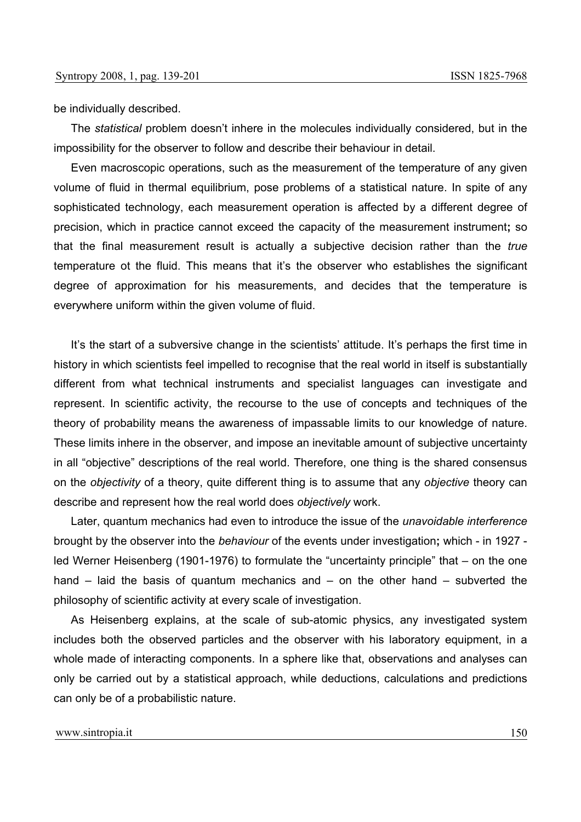be individually described.

The *statistical* problem doesn't inhere in the molecules individually considered, but in the impossibility for the observer to follow and describe their behaviour in detail.

Even macroscopic operations, such as the measurement of the temperature of any given volume of fluid in thermal equilibrium, pose problems of a statistical nature. In spite of any sophisticated technology, each measurement operation is affected by a different degree of precision, which in practice cannot exceed the capacity of the measurement instrument**;** so that the final measurement result is actually a subjective decision rather than the *true*  temperature ot the fluid. This means that it's the observer who establishes the significant degree of approximation for his measurements, and decides that the temperature is everywhere uniform within the given volume of fluid.

It's the start of a subversive change in the scientists' attitude. It's perhaps the first time in history in which scientists feel impelled to recognise that the real world in itself is substantially different from what technical instruments and specialist languages can investigate and represent. In scientific activity, the recourse to the use of concepts and techniques of the theory of probability means the awareness of impassable limits to our knowledge of nature. These limits inhere in the observer, and impose an inevitable amount of subjective uncertainty in all "objective" descriptions of the real world. Therefore, one thing is the shared consensus on the *objectivity* of a theory, quite different thing is to assume that any *objective* theory can describe and represent how the real world does *objectively* work.

Later, quantum mechanics had even to introduce the issue of the *unavoidable interference* brought by the observer into the *behaviour* of the events under investigation**;** which - in 1927 led Werner Heisenberg (1901-1976) to formulate the "uncertainty principle" that – on the one hand – laid the basis of quantum mechanics and – on the other hand – subverted the philosophy of scientific activity at every scale of investigation.

As Heisenberg explains, at the scale of sub-atomic physics, any investigated system includes both the observed particles and the observer with his laboratory equipment, in a whole made of interacting components. In a sphere like that, observations and analyses can only be carried out by a statistical approach, while deductions, calculations and predictions can only be of a probabilistic nature.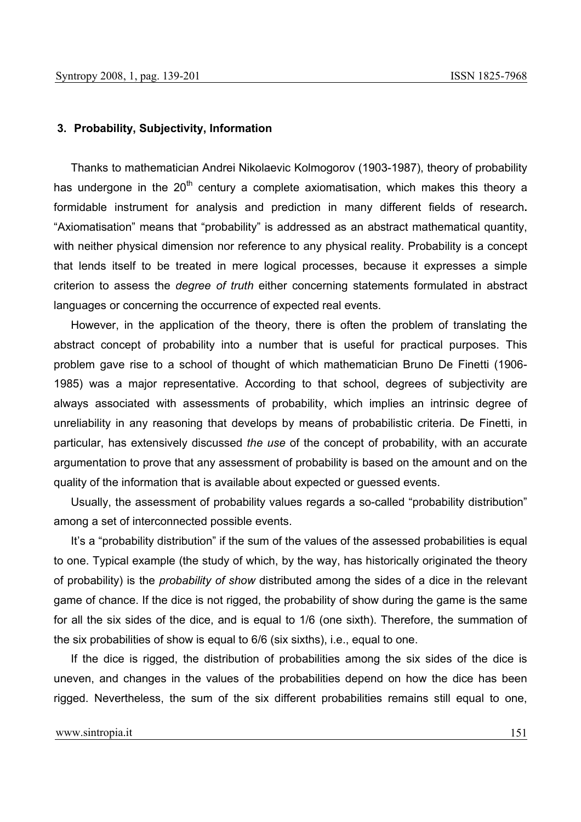### **3. Probability, Subjectivity, Information**

Thanks to mathematician Andrei Nikolaevic Kolmogorov (1903-1987), theory of probability has undergone in the  $20<sup>th</sup>$  century a complete axiomatisation, which makes this theory a formidable instrument for analysis and prediction in many different fields of research**.** "Axiomatisation" means that "probability" is addressed as an abstract mathematical quantity, with neither physical dimension nor reference to any physical reality. Probability is a concept that lends itself to be treated in mere logical processes, because it expresses a simple criterion to assess the *degree of truth* either concerning statements formulated in abstract languages or concerning the occurrence of expected real events.

However, in the application of the theory, there is often the problem of translating the abstract concept of probability into a number that is useful for practical purposes. This problem gave rise to a school of thought of which mathematician Bruno De Finetti (1906- 1985) was a major representative. According to that school, degrees of subjectivity are always associated with assessments of probability, which implies an intrinsic degree of unreliability in any reasoning that develops by means of probabilistic criteria. De Finetti, in particular, has extensively discussed *the use* of the concept of probability, with an accurate argumentation to prove that any assessment of probability is based on the amount and on the quality of the information that is available about expected or guessed events.

Usually, the assessment of probability values regards a so-called "probability distribution" among a set of interconnected possible events.

It's a "probability distribution" if the sum of the values of the assessed probabilities is equal to one. Typical example (the study of which, by the way, has historically originated the theory of probability) is the *probability of show* distributed among the sides of a dice in the relevant game of chance. If the dice is not rigged, the probability of show during the game is the same for all the six sides of the dice, and is equal to 1/6 (one sixth). Therefore, the summation of the six probabilities of show is equal to 6/6 (six sixths), i.e., equal to one.

If the dice is rigged, the distribution of probabilities among the six sides of the dice is uneven, and changes in the values of the probabilities depend on how the dice has been rigged. Nevertheless, the sum of the six different probabilities remains still equal to one,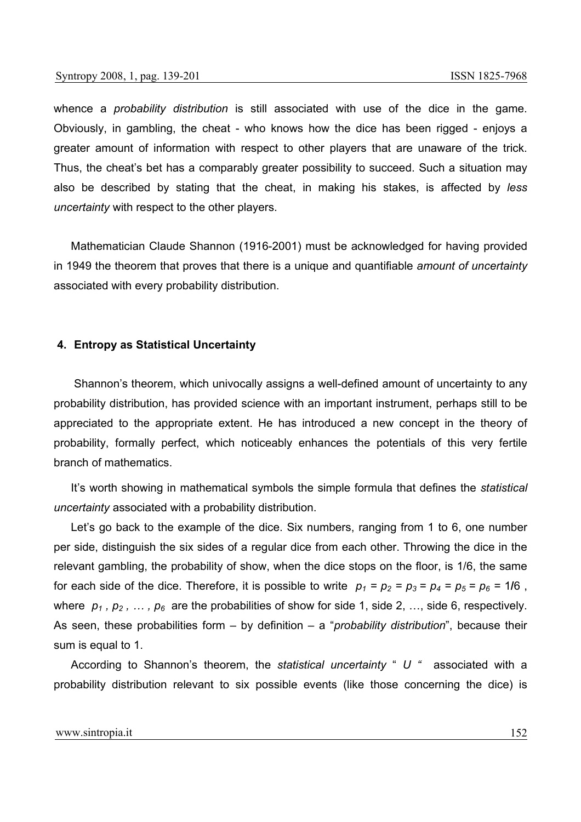whence a *probability distribution* is still associated with use of the dice in the game. Obviously, in gambling, the cheat - who knows how the dice has been rigged - enjoys a greater amount of information with respect to other players that are unaware of the trick. Thus, the cheat's bet has a comparably greater possibility to succeed. Such a situation may also be described by stating that the cheat, in making his stakes, is affected by *less uncertainty* with respect to the other players.

Mathematician Claude Shannon (1916-2001) must be acknowledged for having provided in 1949 the theorem that proves that there is a unique and quantifiable *amount of uncertainty* associated with every probability distribution.

## **4. Entropy as Statistical Uncertainty**

Shannon's theorem, which univocally assigns a well-defined amount of uncertainty to any probability distribution, has provided science with an important instrument, perhaps still to be appreciated to the appropriate extent. He has introduced a new concept in the theory of probability, formally perfect, which noticeably enhances the potentials of this very fertile branch of mathematics.

It's worth showing in mathematical symbols the simple formula that defines the *statistical uncertainty* associated with a probability distribution.

Let's go back to the example of the dice. Six numbers, ranging from 1 to 6, one number per side, distinguish the six sides of a regular dice from each other. Throwing the dice in the relevant gambling, the probability of show, when the dice stops on the floor, is 1/6, the same for each side of the dice. Therefore, it is possible to write  $p_1 = p_2 = p_3 = p_4 = p_5 = p_6 = 1/6$ , where  $p_1$ ,  $p_2$ ,  $\ldots$ ,  $p_6$  are the probabilities of show for side 1, side 2, ..., side 6, respectively. As seen, these probabilities form – by definition – a "*probability distribution*", because their sum is equal to 1.

According to Shannon's theorem, the *statistical uncertainty* " *U "* associated with a probability distribution relevant to six possible events (like those concerning the dice) is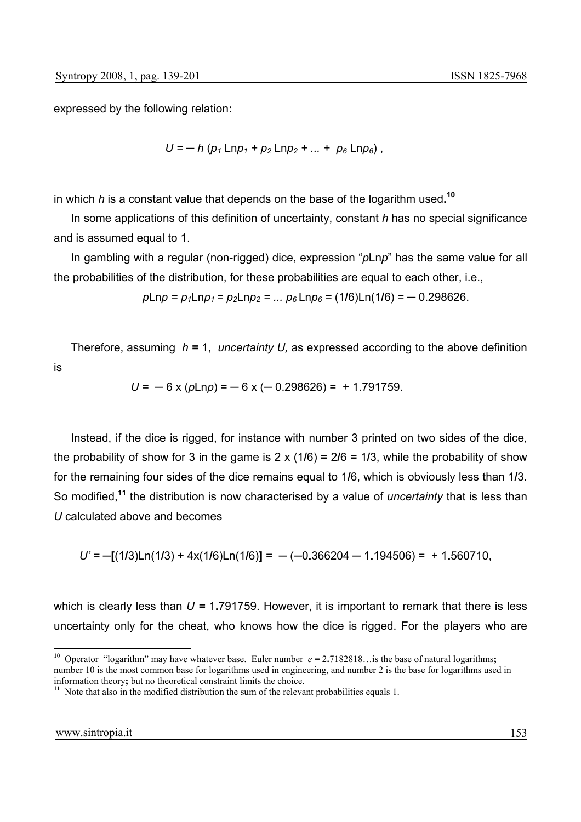expressed by the following relation**:**

$$
U = - h (p_1 \, \text{Ln} p_1 + p_2 \, \text{Ln} p_2 + ... + p_6 \, \text{Ln} p_6),
$$

in which *h* is a constant value that depends on the base of the logarithm used**. 10**

In some applications of this definition of uncertainty, constant *h* has no special significance and is assumed equal to 1.

In gambling with a regular (non-rigged) dice, expression "*p*Ln*p*" has the same value for all the probabilities of the distribution, for these probabilities are equal to each other, i.e.,

$$
p\text{Lnp} = p_1\text{Lnp}_1 = p_2\text{Lnp}_2 = \dots p_6\text{Lnp}_6 = (1/6)\text{Ln}(1/6) = -0.298626.
$$

Therefore, assuming *h =* 1, *uncertainty U,* as expressed according to the above definition is

$$
U = -6 \times (p \ln p) = -6 \times (-0.298626) = +1.791759.
$$

Instead, if the dice is rigged, for instance with number 3 printed on two sides of the dice, the probability of show for 3 in the game is 2 x (1**/**6) **=** 2**/**6 **=** 1**/**3, while the probability of show for the remaining four sides of the dice remains equal to 1**/**6, which is obviously less than 1**/**3. So modified,**<sup>11</sup>** the distribution is now characterised by a value of *uncertainty* that is less than *U* calculated above and becomes

$$
U' = -[(1/3)\text{Ln}(1/3) + 4\text{x}(1/6)\text{Ln}(1/6)] = -(-0.366204 - 1.194506) = +1.560710,
$$

which is clearly less than  $U = 1.791759$ . However, it is important to remark that there is less uncertainty only for the cheat, who knows how the dice is rigged. For the players who are

**<sup>10</sup>** Operator "logarithm" may have whatever base. Euler number *e =* 2**.**7182818…is the base of natural logarithms**;** number 10 is the most common base for logarithms used in engineering, and number 2 is the base for logarithms used in information theory; but no theoretical constraint limits the choice.

 $\frac{11}{11}$  Note that also in the modified distribution the sum of the relevant probabilities equals 1.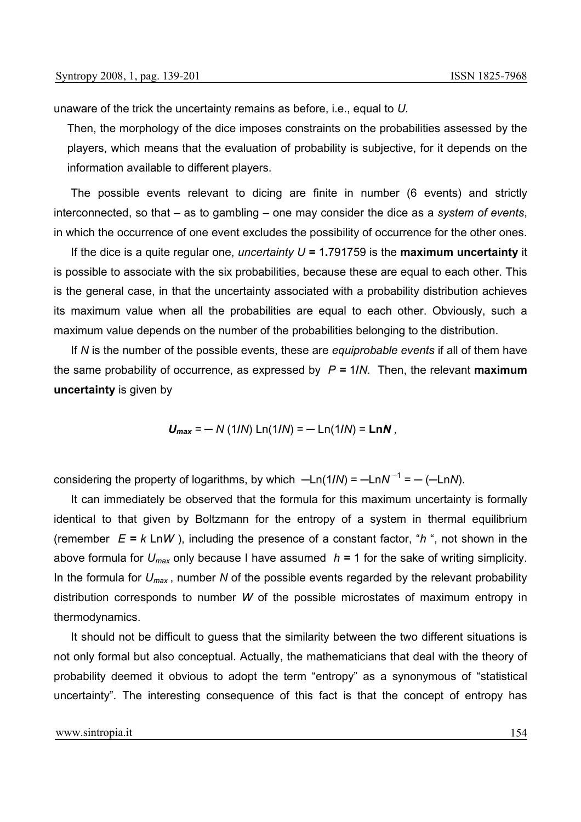unaware of the trick the uncertainty remains as before, i.e., equal to *U.*

Then, the morphology of the dice imposes constraints on the probabilities assessed by the players, which means that the evaluation of probability is subjective, for it depends on the information available to different players.

The possible events relevant to dicing are finite in number (6 events) and strictly interconnected, so that – as to gambling – one may consider the dice as a *system of events*, in which the occurrence of one event excludes the possibility of occurrence for the other ones.

If the dice is a quite regular one, *uncertainty U =* 1**.**791759 is the **maximum uncertainty** it is possible to associate with the six probabilities, because these are equal to each other. This is the general case, in that the uncertainty associated with a probability distribution achieves its maximum value when all the probabilities are equal to each other. Obviously, such a maximum value depends on the number of the probabilities belonging to the distribution.

If *N* is the number of the possible events, these are *equiprobable events* if all of them have the same probability of occurrence, as expressed by *P =* 1**/***N.* Then, the relevant **maximum uncertainty** is given by

 $U_{max} = -N(1/N) \ln(1/N) = -\ln(1/N) = \ln N$ 

considering the property of logarithms, by which  $-Ln(1/N) = -LnN^{-1} = -(LnN)$ .

It can immediately be observed that the formula for this maximum uncertainty is formally identical to that given by Boltzmann for the entropy of a system in thermal equilibrium (remember  $E = k \text{Ln}W$ ), including the presence of a constant factor, "*h*", not shown in the above formula for *Umax* only because I have assumed *h =* 1 for the sake of writing simplicity. In the formula for *Umax* , number *N* of the possible events regarded by the relevant probability distribution corresponds to number *W* of the possible microstates of maximum entropy in thermodynamics.

It should not be difficult to guess that the similarity between the two different situations is not only formal but also conceptual. Actually, the mathematicians that deal with the theory of probability deemed it obvious to adopt the term "entropy" as a synonymous of "statistical uncertainty". The interesting consequence of this fact is that the concept of entropy has

www.sintropia.it 154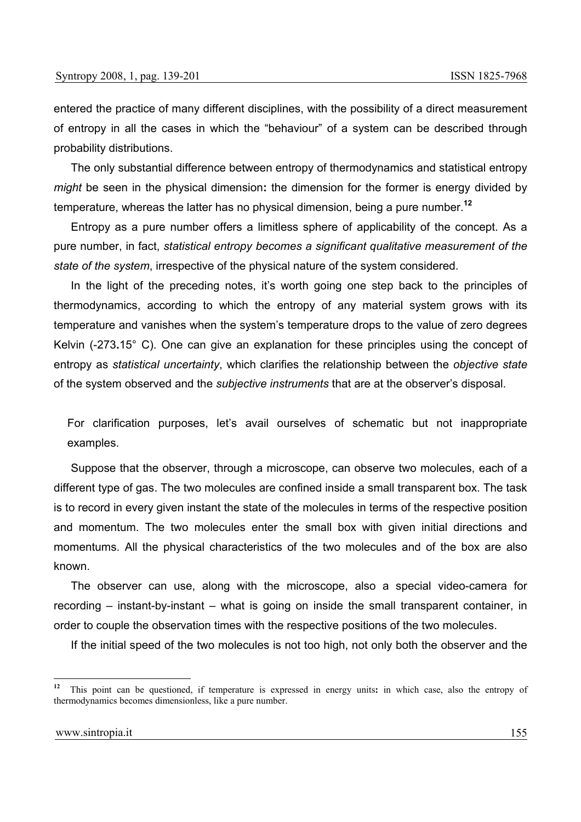entered the practice of many different disciplines, with the possibility of a direct measurement of entropy in all the cases in which the "behaviour" of a system can be described through probability distributions.

The only substantial difference between entropy of thermodynamics and statistical entropy *might* be seen in the physical dimension**:** the dimension for the former is energy divided by temperature, whereas the latter has no physical dimension, being a pure number.**<sup>12</sup>**

Entropy as a pure number offers a limitless sphere of applicability of the concept. As a pure number, in fact, *statistical entropy becomes a significant qualitative measurement of the state of the system*, irrespective of the physical nature of the system considered.

In the light of the preceding notes, it's worth going one step back to the principles of thermodynamics, according to which the entropy of any material system grows with its temperature and vanishes when the system's temperature drops to the value of zero degrees Kelvin (-273**.**15° C). One can give an explanation for these principles using the concept of entropy as *statistical uncertainty*, which clarifies the relationship between the *objective state* of the system observed and the *subjective instruments* that are at the observer's disposal.

For clarification purposes, let's avail ourselves of schematic but not inappropriate examples.

Suppose that the observer, through a microscope, can observe two molecules, each of a different type of gas. The two molecules are confined inside a small transparent box. The task is to record in every given instant the state of the molecules in terms of the respective position and momentum. The two molecules enter the small box with given initial directions and momentums. All the physical characteristics of the two molecules and of the box are also known.

The observer can use, along with the microscope, also a special video-camera for recording – instant-by-instant – what is going on inside the small transparent container, in order to couple the observation times with the respective positions of the two molecules.

If the initial speed of the two molecules is not too high, not only both the observer and the

 $12$ **<sup>12</sup>** This point can be questioned, if temperature is expressed in energy units**:** in which case, also the entropy of thermodynamics becomes dimensionless, like a pure number.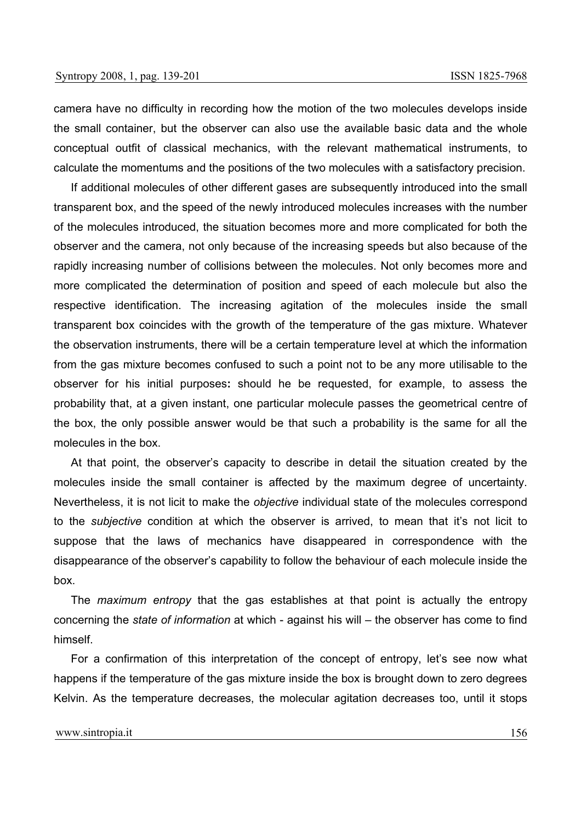camera have no difficulty in recording how the motion of the two molecules develops inside the small container, but the observer can also use the available basic data and the whole conceptual outfit of classical mechanics, with the relevant mathematical instruments, to calculate the momentums and the positions of the two molecules with a satisfactory precision.

If additional molecules of other different gases are subsequently introduced into the small transparent box, and the speed of the newly introduced molecules increases with the number of the molecules introduced, the situation becomes more and more complicated for both the observer and the camera, not only because of the increasing speeds but also because of the rapidly increasing number of collisions between the molecules. Not only becomes more and more complicated the determination of position and speed of each molecule but also the respective identification. The increasing agitation of the molecules inside the small transparent box coincides with the growth of the temperature of the gas mixture. Whatever the observation instruments, there will be a certain temperature level at which the information from the gas mixture becomes confused to such a point not to be any more utilisable to the observer for his initial purposes**:** should he be requested, for example, to assess the probability that, at a given instant, one particular molecule passes the geometrical centre of the box, the only possible answer would be that such a probability is the same for all the molecules in the box.

At that point, the observer's capacity to describe in detail the situation created by the molecules inside the small container is affected by the maximum degree of uncertainty. Nevertheless, it is not licit to make the *objective* individual state of the molecules correspond to the *subjective* condition at which the observer is arrived, to mean that it's not licit to suppose that the laws of mechanics have disappeared in correspondence with the disappearance of the observer's capability to follow the behaviour of each molecule inside the box.

The *maximum entropy* that the gas establishes at that point is actually the entropy concerning the *state of information* at which - against his will – the observer has come to find himself.

For a confirmation of this interpretation of the concept of entropy, let's see now what happens if the temperature of the gas mixture inside the box is brought down to zero degrees Kelvin. As the temperature decreases, the molecular agitation decreases too, until it stops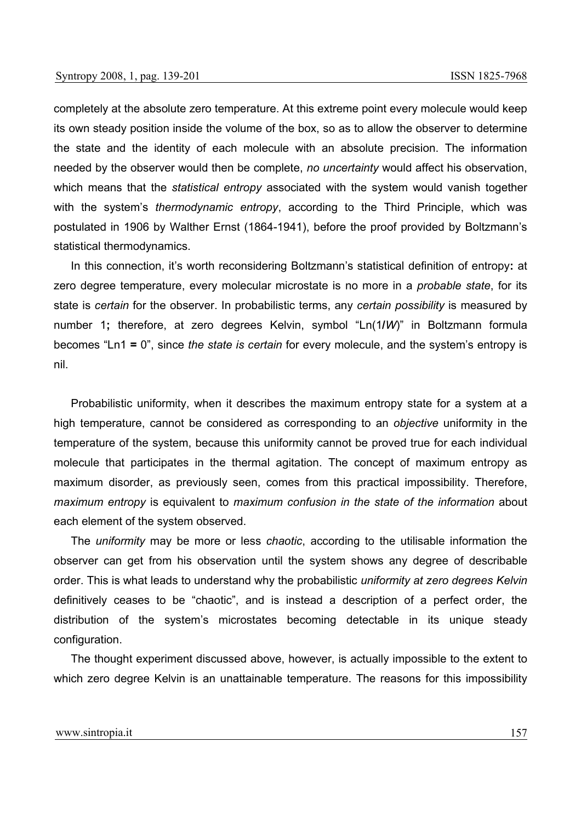completely at the absolute zero temperature. At this extreme point every molecule would keep its own steady position inside the volume of the box, so as to allow the observer to determine the state and the identity of each molecule with an absolute precision. The information needed by the observer would then be complete, *no uncertainty* would affect his observation, which means that the *statistical entropy* associated with the system would vanish together with the system's *thermodynamic entropy*, according to the Third Principle, which was postulated in 1906 by Walther Ernst (1864-1941), before the proof provided by Boltzmann's statistical thermodynamics.

In this connection, it's worth reconsidering Boltzmann's statistical definition of entropy**:** at zero degree temperature, every molecular microstate is no more in a *probable state*, for its state is *certain* for the observer. In probabilistic terms, any *certain possibility* is measured by number 1**;** therefore, at zero degrees Kelvin, symbol "Ln(1**/***W*)" in Boltzmann formula becomes "Ln1 **=** 0", since *the state is certain* for every molecule, and the system's entropy is nil.

Probabilistic uniformity, when it describes the maximum entropy state for a system at a high temperature, cannot be considered as corresponding to an *objective* uniformity in the temperature of the system, because this uniformity cannot be proved true for each individual molecule that participates in the thermal agitation. The concept of maximum entropy as maximum disorder, as previously seen, comes from this practical impossibility. Therefore, *maximum entropy* is equivalent to *maximum confusion in the state of the information* about each element of the system observed.

The *uniformity* may be more or less *chaotic*, according to the utilisable information the observer can get from his observation until the system shows any degree of describable order. This is what leads to understand why the probabilistic *uniformity at zero degrees Kelvin* definitively ceases to be "chaotic", and is instead a description of a perfect order, the distribution of the system's microstates becoming detectable in its unique steady configuration.

The thought experiment discussed above, however, is actually impossible to the extent to which zero degree Kelvin is an unattainable temperature. The reasons for this impossibility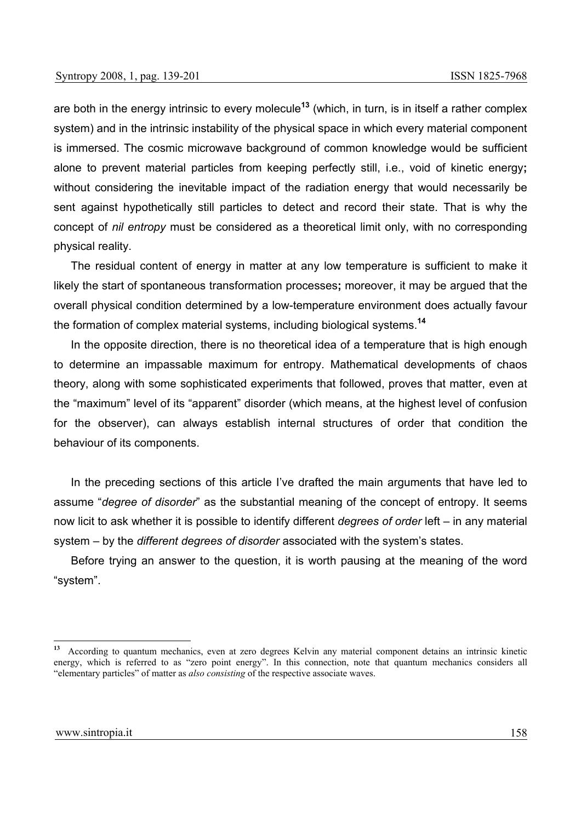are both in the energy intrinsic to every molecule**<sup>13</sup>** (which, in turn, is in itself a rather complex system) and in the intrinsic instability of the physical space in which every material component is immersed. The cosmic microwave background of common knowledge would be sufficient alone to prevent material particles from keeping perfectly still, i.e., void of kinetic energy**;** without considering the inevitable impact of the radiation energy that would necessarily be sent against hypothetically still particles to detect and record their state. That is why the concept of *nil entropy* must be considered as a theoretical limit only, with no corresponding physical reality.

The residual content of energy in matter at any low temperature is sufficient to make it likely the start of spontaneous transformation processes**;** moreover, it may be argued that the overall physical condition determined by a low-temperature environment does actually favour the formation of complex material systems, including biological systems.**14** 

In the opposite direction, there is no theoretical idea of a temperature that is high enough to determine an impassable maximum for entropy. Mathematical developments of chaos theory, along with some sophisticated experiments that followed, proves that matter, even at the "maximum" level of its "apparent" disorder (which means, at the highest level of confusion for the observer), can always establish internal structures of order that condition the behaviour of its components.

In the preceding sections of this article I've drafted the main arguments that have led to assume "*degree of disorder*" as the substantial meaning of the concept of entropy. It seems now licit to ask whether it is possible to identify different *degrees of order* left – in any material system – by the *different degrees of disorder* associated with the system's states.

Before trying an answer to the question, it is worth pausing at the meaning of the word "system".

**<sup>13</sup>** According to quantum mechanics, even at zero degrees Kelvin any material component detains an intrinsic kinetic energy, which is referred to as "zero point energy". In this connection, note that quantum mechanics considers all "elementary particles" of matter as *also consisting* of the respective associate waves.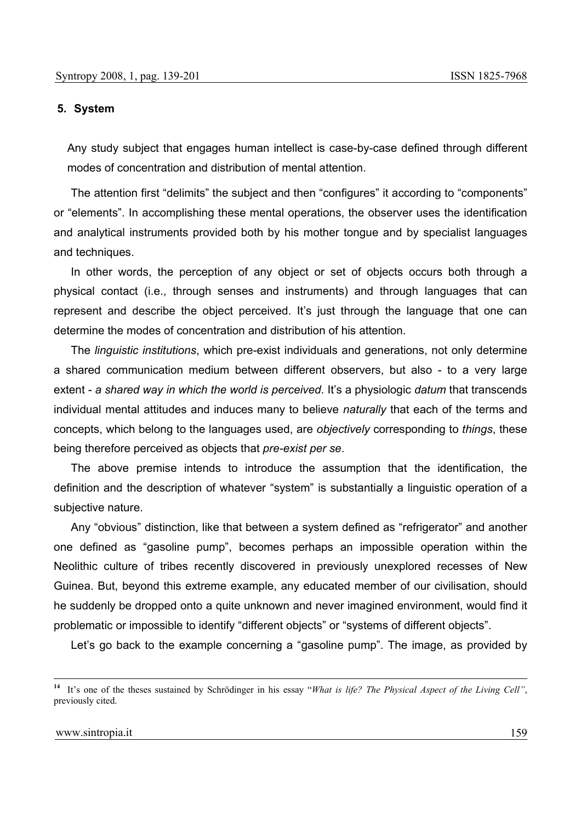### **5. System**

Any study subject that engages human intellect is case-by-case defined through different modes of concentration and distribution of mental attention.

The attention first "delimits" the subiect and then "configures" it according to "components" or "elements". In accomplishing these mental operations, the observer uses the identification and analytical instruments provided both by his mother tongue and by specialist languages and techniques.

In other words, the perception of any object or set of objects occurs both through a physical contact (i.e., through senses and instruments) and through languages that can represent and describe the object perceived. It's just through the language that one can determine the modes of concentration and distribution of his attention.

The *linguistic institutions*, which pre-exist individuals and generations, not only determine a shared communication medium between different observers, but also - to a very large extent - *a shared way in which the world is perceived*. It's a physiologic *datum* that transcends individual mental attitudes and induces many to believe *naturally* that each of the terms and concepts, which belong to the languages used, are *objectively* corresponding to *things*, these being therefore perceived as objects that *pre-exist per se*.

The above premise intends to introduce the assumption that the identification, the definition and the description of whatever "system" is substantially a linguistic operation of a subjective nature.

Any "obvious" distinction, like that between a system defined as "refrigerator" and another one defined as "gasoline pump", becomes perhaps an impossible operation within the Neolithic culture of tribes recently discovered in previously unexplored recesses of New Guinea. But, beyond this extreme example, any educated member of our civilisation, should he suddenly be dropped onto a quite unknown and never imagined environment, would find it problematic or impossible to identify "different objects" or "systems of different objects".

Let's go back to the example concerning a "gasoline pump". The image, as provided by

**<sup>14</sup>** It's one of the theses sustained by Schrödinger in his essay "*What is life? The Physical Aspect of the Living Cell"*, previously cited.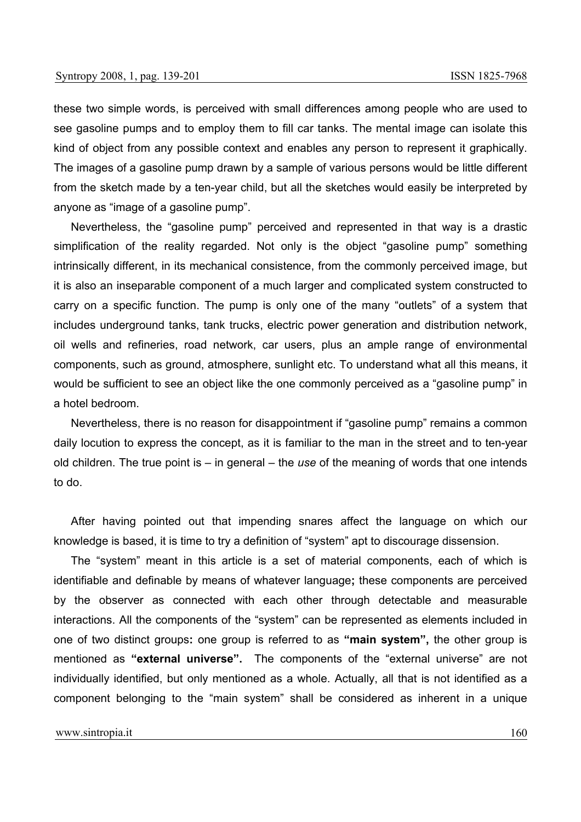these two simple words, is perceived with small differences among people who are used to see gasoline pumps and to employ them to fill car tanks. The mental image can isolate this kind of object from any possible context and enables any person to represent it graphically. The images of a gasoline pump drawn by a sample of various persons would be little different from the sketch made by a ten-year child, but all the sketches would easily be interpreted by anyone as "image of a gasoline pump".

Nevertheless, the "gasoline pump" perceived and represented in that way is a drastic simplification of the reality regarded. Not only is the object "gasoline pump" something intrinsically different, in its mechanical consistence, from the commonly perceived image, but it is also an inseparable component of a much larger and complicated system constructed to carry on a specific function. The pump is only one of the many "outlets" of a system that includes underground tanks, tank trucks, electric power generation and distribution network, oil wells and refineries, road network, car users, plus an ample range of environmental components, such as ground, atmosphere, sunlight etc. To understand what all this means, it would be sufficient to see an object like the one commonly perceived as a "gasoline pump" in a hotel bedroom.

Nevertheless, there is no reason for disappointment if "gasoline pump" remains a common daily locution to express the concept, as it is familiar to the man in the street and to ten-year old children. The true point is – in general – the *use* of the meaning of words that one intends to do.

After having pointed out that impending snares affect the language on which our knowledge is based, it is time to try a definition of "system" apt to discourage dissension.

The "system" meant in this article is a set of material components, each of which is identifiable and definable by means of whatever language**;** these components are perceived by the observer as connected with each other through detectable and measurable interactions. All the components of the "system" can be represented as elements included in one of two distinct groups**:** one group is referred to as **"main system",** the other group is mentioned as **"external universe".** The components of the "external universe" are not individually identified, but only mentioned as a whole. Actually, all that is not identified as a component belonging to the "main system" shall be considered as inherent in a unique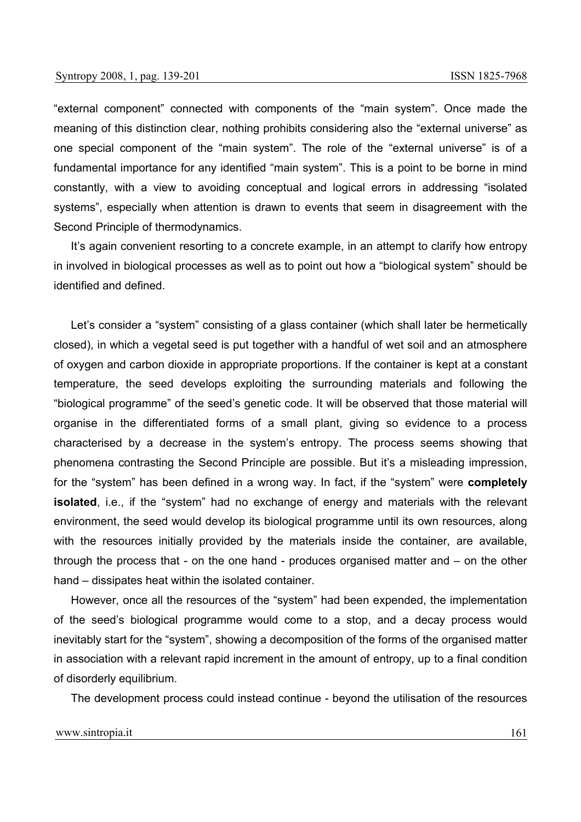"external component" connected with components of the "main system". Once made the meaning of this distinction clear, nothing prohibits considering also the "external universe" as one special component of the "main system". The role of the "external universe" is of a fundamental importance for any identified "main system". This is a point to be borne in mind constantly, with a view to avoiding conceptual and logical errors in addressing "isolated systems", especially when attention is drawn to events that seem in disagreement with the Second Principle of thermodynamics.

It's again convenient resorting to a concrete example, in an attempt to clarify how entropy in involved in biological processes as well as to point out how a "biological system" should be identified and defined.

Let's consider a "system" consisting of a glass container (which shall later be hermetically closed), in which a vegetal seed is put together with a handful of wet soil and an atmosphere of oxygen and carbon dioxide in appropriate proportions. If the container is kept at a constant temperature, the seed develops exploiting the surrounding materials and following the "biological programme" of the seed's genetic code. It will be observed that those material will organise in the differentiated forms of a small plant, giving so evidence to a process characterised by a decrease in the system's entropy. The process seems showing that phenomena contrasting the Second Principle are possible. But it's a misleading impression, for the "system" has been defined in a wrong way. In fact, if the "system" were **completely isolated**, i.e., if the "system" had no exchange of energy and materials with the relevant environment, the seed would develop its biological programme until its own resources, along with the resources initially provided by the materials inside the container, are available, through the process that - on the one hand - produces organised matter and – on the other hand – dissipates heat within the isolated container.

However, once all the resources of the "system" had been expended, the implementation of the seed's biological programme would come to a stop, and a decay process would inevitably start for the "system", showing a decomposition of the forms of the organised matter in association with a relevant rapid increment in the amount of entropy, up to a final condition of disorderly equilibrium.

The development process could instead continue - beyond the utilisation of the resources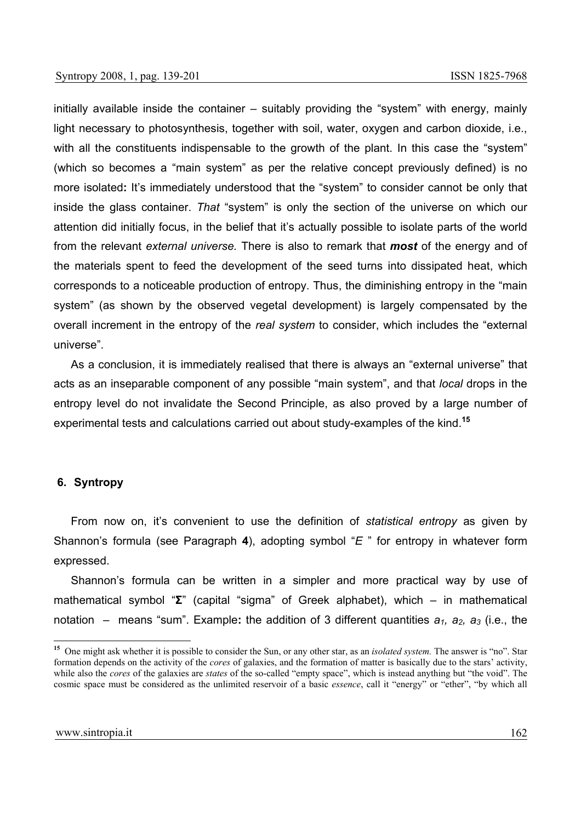initially available inside the container – suitably providing the "system" with energy, mainly light necessary to photosynthesis, together with soil, water, oxygen and carbon dioxide, i.e., with all the constituents indispensable to the growth of the plant. In this case the "system" (which so becomes a "main system" as per the relative concept previously defined) is no more isolated**:** It's immediately understood that the "system" to consider cannot be only that inside the glass container. *That* "system" is only the section of the universe on which our attention did initially focus, in the belief that it's actually possible to isolate parts of the world from the relevant *external universe.* There is also to remark that *most* of the energy and of the materials spent to feed the development of the seed turns into dissipated heat, which corresponds to a noticeable production of entropy. Thus, the diminishing entropy in the "main system" (as shown by the observed vegetal development) is largely compensated by the overall increment in the entropy of the *real system* to consider, which includes the "external universe".

As a conclusion, it is immediately realised that there is always an "external universe" that acts as an inseparable component of any possible "main system", and that *local* drops in the entropy level do not invalidate the Second Principle, as also proved by a large number of experimental tests and calculations carried out about study-examples of the kind.**<sup>15</sup>**

## **6. Syntropy**

From now on, it's convenient to use the definition of *statistical entropy* as given by Shannon's formula (see Paragraph **4**), adopting symbol "*E* " for entropy in whatever form expressed.

Shannon's formula can be written in a simpler and more practical way by use of mathematical symbol "**Σ**" (capital "sigma" of Greek alphabet), which – in mathematical notation – means "sum". Example: the addition of 3 different quantities  $a_1$ ,  $a_2$ ,  $a_3$  (i.e., the

**<sup>15</sup>** One might ask whether it is possible to consider the Sun, or any other star, as an *isolated system.* The answer is "no". Star formation depends on the activity of the *cores* of galaxies, and the formation of matter is basically due to the stars' activity, while also the *cores* of the galaxies are *states* of the so-called "empty space", which is instead anything but "the void". The cosmic space must be considered as the unlimited reservoir of a basic *essence*, call it "energy" or "ether", "by which all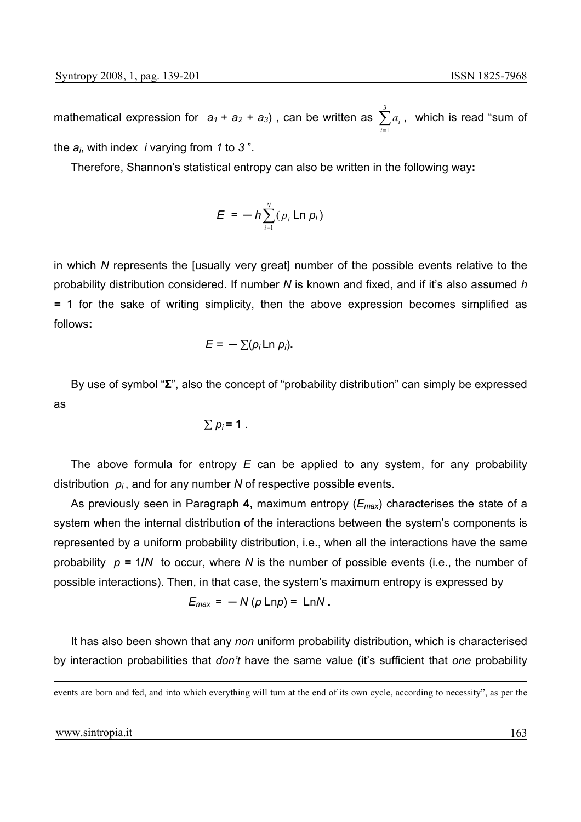mathematical expression for  $a_1 + a_2 + a_3$ ), can be written as  $\sum_{i=1}^3$  $i = 1$ *ai* , which is read "sum of the *ai*, with index *i* varying from *1* to *3* ".

Therefore, Shannon's statistical entropy can also be written in the following way**:**

$$
E = -h \sum_{i=1}^N (p_i \ln p_i)
$$

in which *N* represents the [usually very great] number of the possible events relative to the probability distribution considered. If number *N* is known and fixed, and if it's also assumed *h =* 1 for the sake of writing simplicity, then the above expression becomes simplified as follows**:** 

$$
E = -\sum (p_i \ln p_i).
$$

By use of symbol "**Σ**", also the concept of "probability distribution" can simply be expressed as

$$
\sum p_i = 1.
$$

The above formula for entropy *E* can be applied to any system, for any probability distribution  $p_i$ , and for any number N of respective possible events.

As previously seen in Paragraph **4**, maximum entropy (*Emax*) characterises the state of a system when the internal distribution of the interactions between the system's components is represented by a uniform probability distribution, i.e., when all the interactions have the same probability  $p = 1/N$  to occur, where N is the number of possible events (i.e., the number of possible interactions). Then, in that case, the system's maximum entropy is expressed by

$$
E_{\text{max}} = -N(p \text{ Lnp}) = \text{ LnN}.
$$

It has also been shown that any *non* uniform probability distribution, which is characterised by interaction probabilities that *don't* have the same value (it's sufficient that *one* probability

events are born and fed, and into which everything will turn at the end of its own cycle, according to necessity", as per the

#### www.sintropia.it 163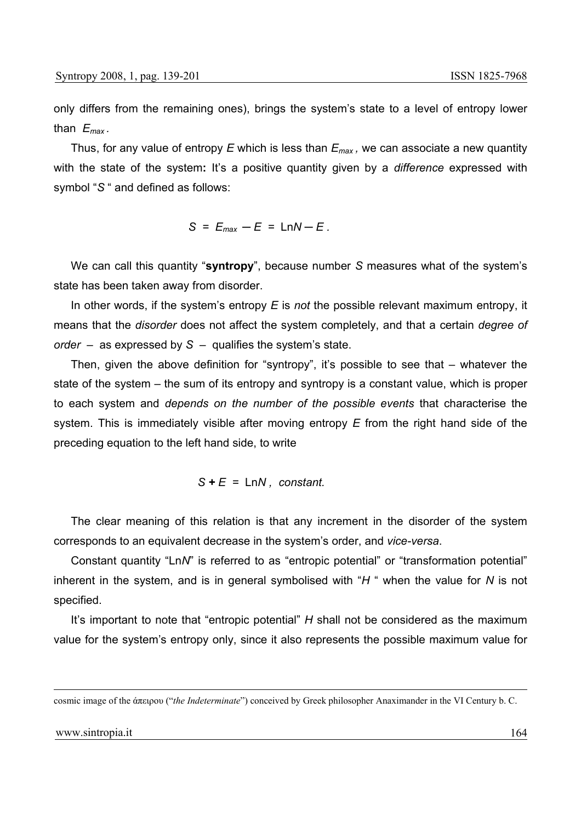only differs from the remaining ones), brings the system's state to a level of entropy lower than *Emax .*

Thus, for any value of entropy *E* which is less than *Emax ,* we can associate a new quantity with the state of the system**:** It's a positive quantity given by a *difference* expressed with symbol "*S* " and defined as follows:

 $S = E_{max} - E = \text{Ln}N - E$ .

We can call this quantity "**syntropy**", because number *S* measures what of the system's state has been taken away from disorder.

In other words, if the system's entropy *E* is *not* the possible relevant maximum entropy, it means that the *disorder* does not affect the system completely, and that a certain *degree of order* – as expressed by *S* – qualifies the system's state.

Then, given the above definition for "syntropy", it's possible to see that – whatever the state of the system – the sum of its entropy and syntropy is a constant value, which is proper to each system and *depends on the number of the possible events* that characterise the system. This is immediately visible after moving entropy *E* from the right hand side of the preceding equation to the left hand side, to write

$$
S + E = \text{Ln}N, \text{ constant.}
$$

The clear meaning of this relation is that any increment in the disorder of the system corresponds to an equivalent decrease in the system's order, and *vice-versa*.

Constant quantity "Ln*N*" is referred to as "entropic potential" or "transformation potential" inherent in the system, and is in general symbolised with "*H* " when the value for *N* is not specified.

It's important to note that "entropic potential" *H* shall not be considered as the maximum value for the system's entropy only, since it also represents the possible maximum value for

cosmic image of the άπειρου ("*the Indeterminate*") conceived by Greek philosopher Anaximander in the VI Century b. C.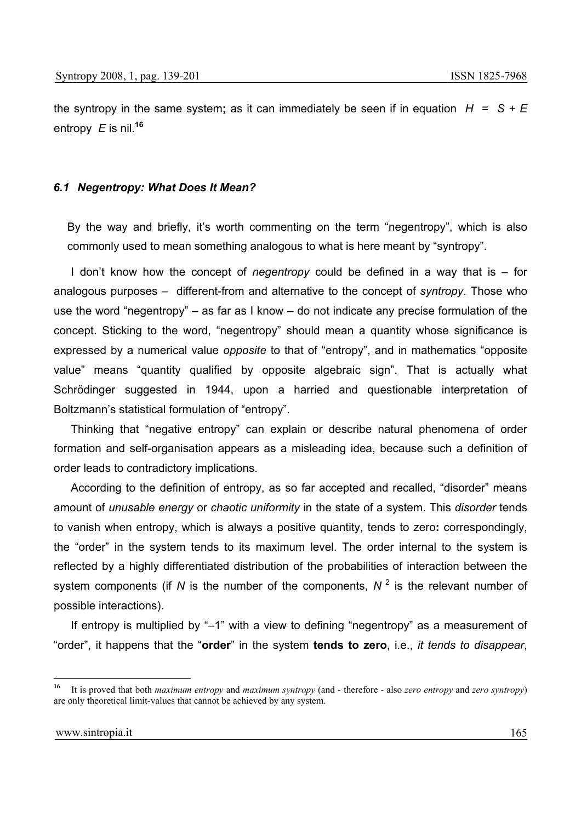the syntropy in the same system**;** as it can immediately be seen if in equation *H* = *S + E* entropy *E* is nil.**<sup>16</sup>**

## *6.1 Negentropy: What Does It Mean?*

By the way and briefly, it's worth commenting on the term "negentropy", which is also commonly used to mean something analogous to what is here meant by "syntropy".

I don't know how the concept of *negentropy* could be defined in a way that is – for analogous purposes – different-from and alternative to the concept of *syntropy*. Those who use the word "negentropy" – as far as I know – do not indicate any precise formulation of the concept. Sticking to the word, "negentropy" should mean a quantity whose significance is expressed by a numerical value *opposite* to that of "entropy", and in mathematics "opposite value" means "quantity qualified by opposite algebraic sign". That is actually what Schrödinger suggested in 1944, upon a harried and questionable interpretation of Boltzmann's statistical formulation of "entropy".

Thinking that "negative entropy" can explain or describe natural phenomena of order formation and self-organisation appears as a misleading idea, because such a definition of order leads to contradictory implications.

According to the definition of entropy, as so far accepted and recalled, "disorder" means amount of *unusable energy* or *chaotic uniformity* in the state of a system. This *disorder* tends to vanish when entropy, which is always a positive quantity, tends to zero**:** correspondingly, the "order" in the system tends to its maximum level. The order internal to the system is reflected by a highly differentiated distribution of the probabilities of interaction between the system components (if N is the number of the components,  $N^2$  is the relevant number of possible interactions).

If entropy is multiplied by "–1" with a view to defining "negentropy" as a measurement of "order", it happens that the "**order**" in the system **tends to zero**, i.e., *it tends to disappear*,

<sup>16</sup> **<sup>16</sup>** It is proved that both *maximum entropy* and *maximum syntropy* (and - therefore - also *zero entropy* and *zero syntropy*) are only theoretical limit-values that cannot be achieved by any system.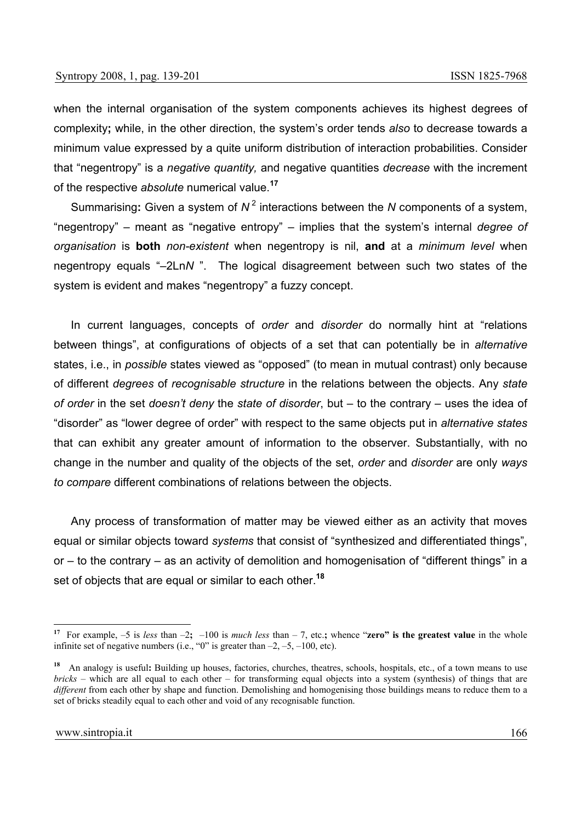when the internal organisation of the system components achieves its highest degrees of complexity**;** while, in the other direction, the system's order tends *also* to decrease towards a minimum value expressed by a quite uniform distribution of interaction probabilities. Consider that "negentropy" is a *negative quantity,* and negative quantities *decrease* with the increment of the respective *absolute* numerical value.**<sup>17</sup>**

Summarising**:** Given a system of *N* 2 interactions between the *N* components of a system, "negentropy" – meant as "negative entropy" – implies that the system's internal *degree of organisation* is **both** *non-existent* when negentropy is nil, **and** at a *minimum level* when negentropy equals "–2Ln*N* ". The logical disagreement between such two states of the system is evident and makes "negentropy" a fuzzy concept.

In current languages, concepts of *order* and *disorder* do normally hint at "relations between things", at configurations of objects of a set that can potentially be in *alternative* states, i.e., in *possible* states viewed as "opposed" (to mean in mutual contrast) only because of different *degrees* of *recognisable structure* in the relations between the objects. Any *state of order* in the set *doesn't deny* the *state of disorder*, but – to the contrary – uses the idea of "disorder" as "lower degree of order" with respect to the same objects put in *alternative states*  that can exhibit any greater amount of information to the observer. Substantially, with no change in the number and quality of the objects of the set, *order* and *disorder* are only *ways to compare* different combinations of relations between the objects.

Any process of transformation of matter may be viewed either as an activity that moves equal or similar objects toward *systems* that consist of "synthesized and differentiated things", or – to the contrary – as an activity of demolition and homogenisation of "different things" in a set of objects that are equal or similar to each other.**<sup>18</sup>**

**<sup>17</sup>** For example, –5 is *less* than –2**;** –100 is *much less* than – 7, etc.**;** whence "**zero" is the greatest value** in the whole infinite set of negative numbers (i.e., "0" is greater than  $-2$ ,  $-5$ ,  $-100$ , etc).

**<sup>18</sup>** An analogy is useful**:** Building up houses, factories, churches, theatres, schools, hospitals, etc., of a town means to use *bricks* – which are all equal to each other – for transforming equal objects into a system (synthesis) of things that are *different* from each other by shape and function. Demolishing and homogenising those buildings means to reduce them to a set of bricks steadily equal to each other and void of any recognisable function.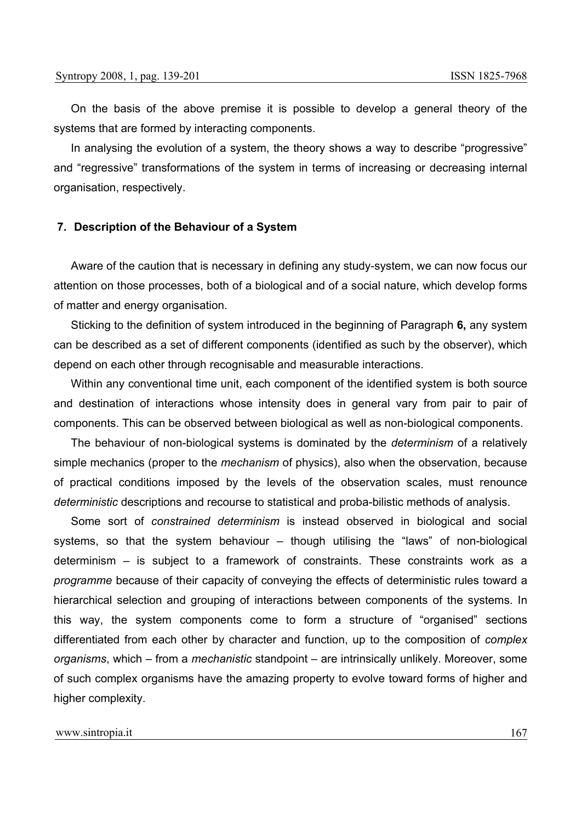On the basis of the above premise it is possible to develop a general theory of the systems that are formed by interacting components.

In analysing the evolution of a system, the theory shows a way to describe "progressive" and "regressive" transformations of the system in terms of increasing or decreasing internal organisation, respectively.

### **7. Description of the Behaviour of a System**

Aware of the caution that is necessary in defining any study-system, we can now focus our attention on those processes, both of a biological and of a social nature, which develop forms of matter and energy organisation.

Sticking to the definition of system introduced in the beginning of Paragraph **6,** any system can be described as a set of different components (identified as such by the observer), which depend on each other through recognisable and measurable interactions.

Within any conventional time unit, each component of the identified system is both source and destination of interactions whose intensity does in general vary from pair to pair of components. This can be observed between biological as well as non-biological components.

The behaviour of non-biological systems is dominated by the *determinism* of a relatively simple mechanics (proper to the *mechanism* of physics), also when the observation, because of practical conditions imposed by the levels of the observation scales, must renounce *deterministic* descriptions and recourse to statistical and proba-bilistic methods of analysis.

Some sort of *constrained determinism* is instead observed in biological and social systems, so that the system behaviour – though utilising the "laws" of non-biological determinism – is subject to a framework of constraints. These constraints work as a *programme* because of their capacity of conveying the effects of deterministic rules toward a hierarchical selection and grouping of interactions between components of the systems. In this way, the system components come to form a structure of "organised" sections differentiated from each other by character and function, up to the composition of *complex organisms*, which – from a *mechanistic* standpoint – are intrinsically unlikely. Moreover, some of such complex organisms have the amazing property to evolve toward forms of higher and higher complexity.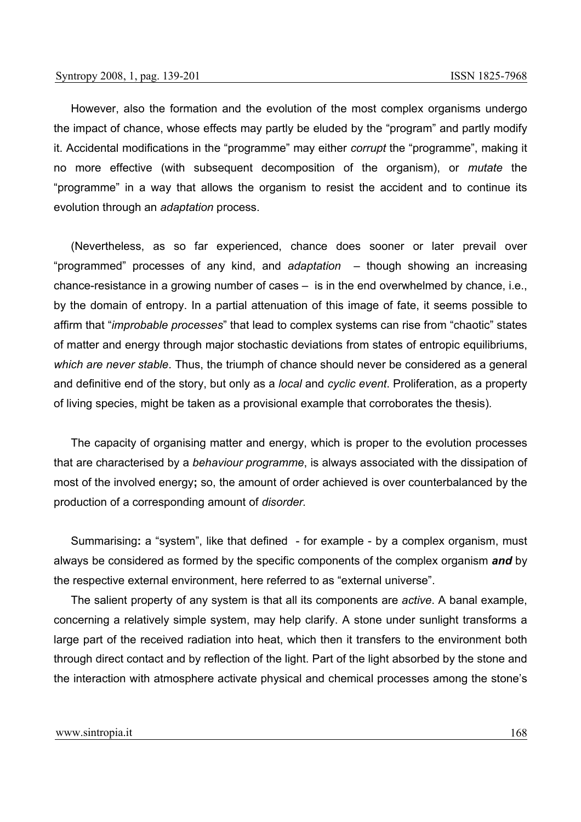However, also the formation and the evolution of the most complex organisms undergo the impact of chance, whose effects may partly be eluded by the "program" and partly modify it. Accidental modifications in the "programme" may either *corrupt* the "programme", making it no more effective (with subsequent decomposition of the organism), or *mutate* the "programme" in a way that allows the organism to resist the accident and to continue its evolution through an *adaptation* process.

(Nevertheless, as so far experienced, chance does sooner or later prevail over "programmed" processes of any kind, and *adaptation –* though showing an increasing chance-resistance in a growing number of cases *–* is in the end overwhelmed by chance, i.e., by the domain of entropy. In a partial attenuation of this image of fate, it seems possible to affirm that "*improbable processes*" that lead to complex systems can rise from "chaotic" states of matter and energy through major stochastic deviations from states of entropic equilibriums, *which are never stable*. Thus, the triumph of chance should never be considered as a general and definitive end of the story, but only as a *local* and *cyclic event*. Proliferation, as a property of living species, might be taken as a provisional example that corroborates the thesis)*.* 

The capacity of organising matter and energy, which is proper to the evolution processes that are characterised by a *behaviour programme*, is always associated with the dissipation of most of the involved energy**;** so, the amount of order achieved is over counterbalanced by the production of a corresponding amount of *disorder.* 

Summarising**:** a "system", like that defined - for example - by a complex organism, must always be considered as formed by the specific components of the complex organism *and* by the respective external environment, here referred to as "external universe".

The salient property of any system is that all its components are *active*. A banal example, concerning a relatively simple system, may help clarify. A stone under sunlight transforms a large part of the received radiation into heat, which then it transfers to the environment both through direct contact and by reflection of the light. Part of the light absorbed by the stone and the interaction with atmosphere activate physical and chemical processes among the stone's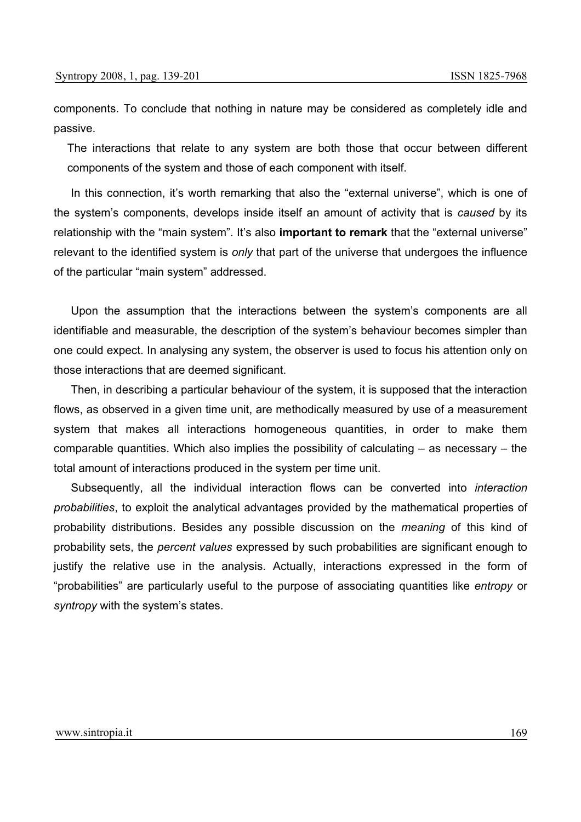components. To conclude that nothing in nature may be considered as completely idle and passive.

The interactions that relate to any system are both those that occur between different components of the system and those of each component with itself.

In this connection, it's worth remarking that also the "external universe", which is one of the system's components, develops inside itself an amount of activity that is *caused* by its relationship with the "main system". It's also **important to remark** that the "external universe" relevant to the identified system is *only* that part of the universe that undergoes the influence of the particular "main system" addressed.

Upon the assumption that the interactions between the system's components are all identifiable and measurable, the description of the system's behaviour becomes simpler than one could expect. In analysing any system, the observer is used to focus his attention only on those interactions that are deemed significant.

Then, in describing a particular behaviour of the system, it is supposed that the interaction flows, as observed in a given time unit, are methodically measured by use of a measurement system that makes all interactions homogeneous quantities, in order to make them comparable quantities. Which also implies the possibility of calculating – as necessary – the total amount of interactions produced in the system per time unit.

Subsequently, all the individual interaction flows can be converted into *interaction probabilities*, to exploit the analytical advantages provided by the mathematical properties of probability distributions. Besides any possible discussion on the *meaning* of this kind of probability sets, the *percent values* expressed by such probabilities are significant enough to justify the relative use in the analysis. Actually, interactions expressed in the form of "probabilities" are particularly useful to the purpose of associating quantities like *entropy* or *syntropy* with the system's states.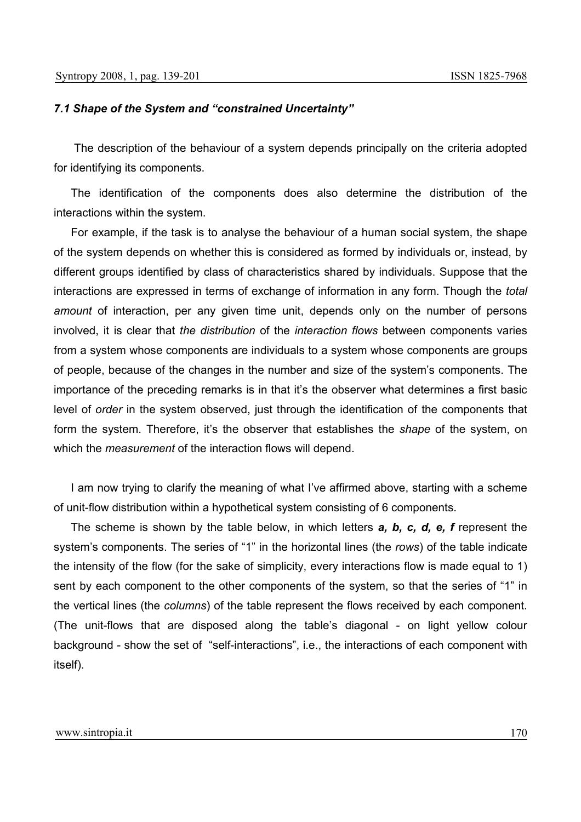## *7.1 Shape of the System and "constrained Uncertainty"*

The description of the behaviour of a system depends principally on the criteria adopted for identifying its components.

The identification of the components does also determine the distribution of the interactions within the system.

For example, if the task is to analyse the behaviour of a human social system, the shape of the system depends on whether this is considered as formed by individuals or, instead, by different groups identified by class of characteristics shared by individuals. Suppose that the interactions are expressed in terms of exchange of information in any form. Though the *total amount* of interaction, per any given time unit, depends only on the number of persons involved, it is clear that *the distribution* of the *interaction flows* between components varies from a system whose components are individuals to a system whose components are groups of people, because of the changes in the number and size of the system's components. The importance of the preceding remarks is in that it's the observer what determines a first basic level of *order* in the system observed, just through the identification of the components that form the system. Therefore, it's the observer that establishes the *shape* of the system, on which the *measurement* of the interaction flows will depend.

I am now trying to clarify the meaning of what I've affirmed above, starting with a scheme of unit-flow distribution within a hypothetical system consisting of 6 components.

The scheme is shown by the table below, in which letters *a, b, c, d, e, f* represent the system's components. The series of "1" in the horizontal lines (the *rows*) of the table indicate the intensity of the flow (for the sake of simplicity, every interactions flow is made equal to 1) sent by each component to the other components of the system, so that the series of "1" in the vertical lines (the *columns*) of the table represent the flows received by each component. (The unit-flows that are disposed along the table's diagonal - on light yellow colour background - show the set of "self-interactions", i.e., the interactions of each component with itself).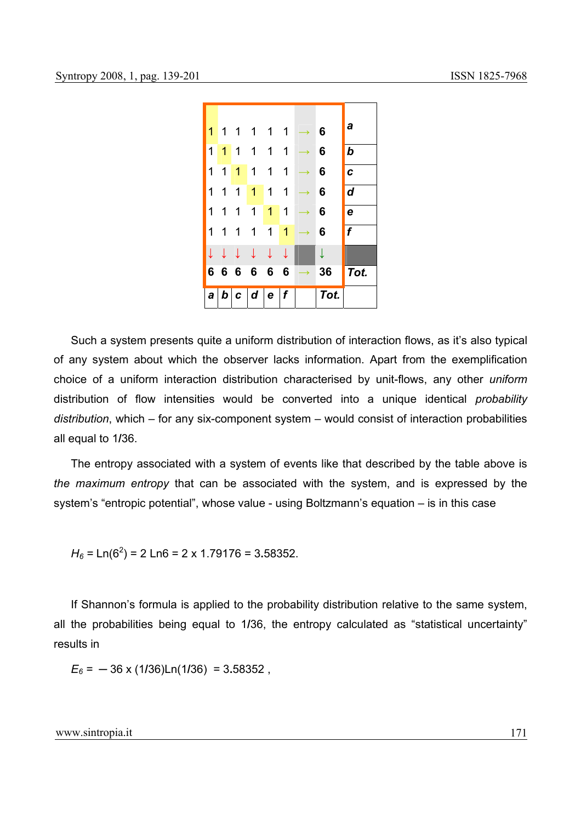

Such a system presents quite a uniform distribution of interaction flows, as it's also typical of any system about which the observer lacks information. Apart from the exemplification choice of a uniform interaction distribution characterised by unit-flows, any other *uniform* distribution of flow intensities would be converted into a unique identical *probability distribution*, which – for any six-component system – would consist of interaction probabilities all equal to 1**/**36.

The entropy associated with a system of events like that described by the table above is *the maximum entropy* that can be associated with the system, and is expressed by the system's "entropic potential", whose value - using Boltzmann's equation – is in this case

*H6 =* Ln(62 ) = 2 Ln6 = 2 x 1.79176 = 3**.**58352.

If Shannon's formula is applied to the probability distribution relative to the same system, all the probabilities being equal to 1**/**36, the entropy calculated as "statistical uncertainty" results in

*E6 =* ─ 36 x (1**/**36)Ln(1**/**36) = 3**.**58352 ,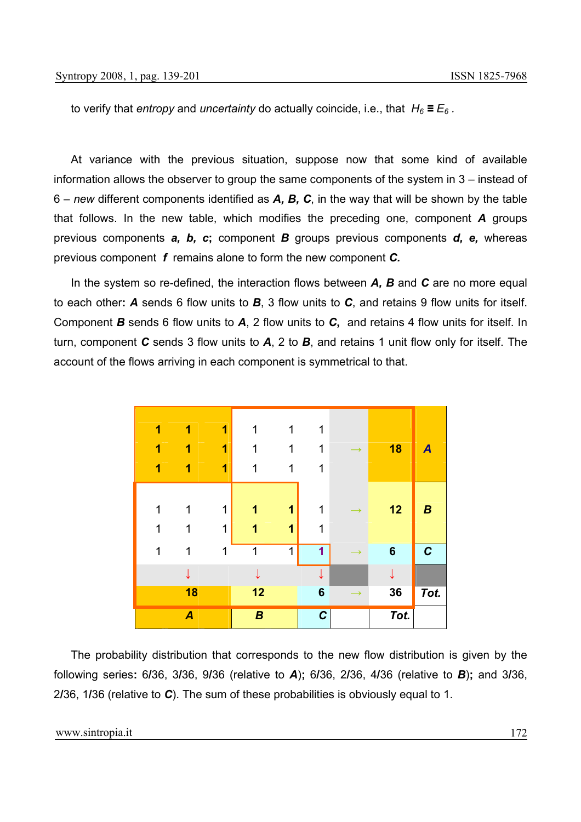to verify that *entropy* and *uncertainty* do actually coincide, i.e., that  $H_6 \equiv E_6$ .

At variance with the previous situation, suppose now that some kind of available information allows the observer to group the same components of the system in 3 – instead of 6 – *new* different components identified as *A, B, C*, in the way that will be shown by the table that follows. In the new table, which modifies the preceding one, component *A* groups previous components *a, b, c***;** component *B* groups previous components *d, e,* whereas previous component *f* remains alone to form the new component *C.* 

In the system so re-defined, the interaction flows between *A, B* and *C* are no more equal to each other**:** *A* sends 6 flow units to *B*, 3 flow units to *C*, and retains 9 flow units for itself. Component *B* sends 6 flow units to *A*, 2 flow units to *C***,** and retains 4 flow units for itself. In turn, component *C* sends 3 flow units to *A*, 2 to *B*, and retains 1 unit flow only for itself. The account of the flows arriving in each component is symmetrical to that.

| 1 | 1                | 1           | 1                | 1 | 1              |               |                 |                  |
|---|------------------|-------------|------------------|---|----------------|---------------|-----------------|------------------|
| 1 | 1                | 1           | 1                | 1 | 1              | $\rightarrow$ | 18              | $\boldsymbol{A}$ |
| 1 | 1                | 1           | 1                | 1 | 1              |               |                 |                  |
|   |                  |             |                  |   |                |               |                 |                  |
| 1 | 1                | $\mathbf 1$ | 1                | 1 | 1              |               | 12              | $\boldsymbol{B}$ |
| 1 | 1                | $\mathbf 1$ | 1                | 1 | 1              |               |                 |                  |
| 1 | 1                | 1           | 1                | 1 | 1              |               | $6\phantom{1}6$ | $\mathcal C$     |
|   |                  |             |                  |   |                |               |                 |                  |
|   | 18               |             | 12               |   | $6\phantom{1}$ | →             | 36              | Tot.             |
|   | $\boldsymbol{A}$ |             | $\boldsymbol{B}$ |   | $\mathcal C$   |               | Tot.            |                  |

The probability distribution that corresponds to the new flow distribution is given by the following series**:** 6**/**36, 3**/**36, 9**/**36 (relative to *A*)**;** 6**/**36, 2**/**36, 4**/**36 (relative to *B*)**;** and 3**/**36, 2**/**36, 1**/**36 (relative to *C*). The sum of these probabilities is obviously equal to 1.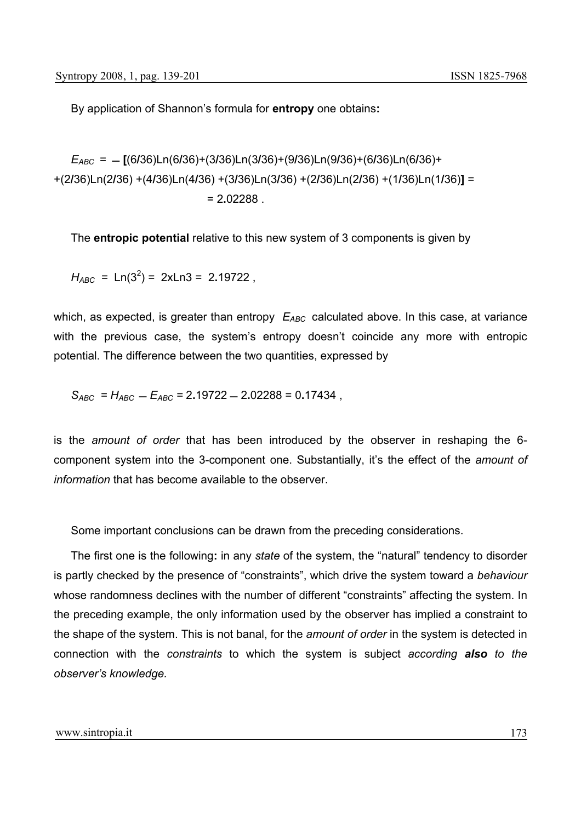By application of Shannon's formula for **entropy** one obtains**:** 

*EABC =* **[**(6**/**36)Ln(6**/**36)+(3**/**36)Ln(3**/**36)+(9**/**36)Ln(9**/**36)+(6**/**36)Ln(6**/**36)+ +(2**/**36)Ln(2**/**36) +(4**/**36)Ln(4**/**36) +(3**/**36)Ln(3**/**36) +(2**/**36)Ln(2**/**36) +(1**/**36)Ln(1**/**36)**]** = = 2**.**02288 .

The **entropic potential** relative to this new system of 3 components is given by

 $H_{ABC}$  = Ln(3<sup>2</sup>) = 2xLn3 = 2.19722,

which, as expected, is greater than entropy  $E_{ABC}$  calculated above. In this case, at variance with the previous case, the system's entropy doesn't coincide any more with entropic potential. The difference between the two quantities, expressed by

 $S_{ABC} = H_{ABC} - E_{ABC} = 2.19722 - 2.02288 = 0.17434$ ,

is the *amount of order* that has been introduced by the observer in reshaping the 6 component system into the 3-component one. Substantially, it's the effect of the *amount of information* that has become available to the observer.

Some important conclusions can be drawn from the preceding considerations.

The first one is the following**:** in any *state* of the system, the "natural" tendency to disorder is partly checked by the presence of "constraints", which drive the system toward a *behaviour* whose randomness declines with the number of different "constraints" affecting the system. In the preceding example, the only information used by the observer has implied a constraint to the shape of the system. This is not banal, for the *amount of order* in the system is detected in connection with the *constraints* to which the system is subject *according also to the observer's knowledge.*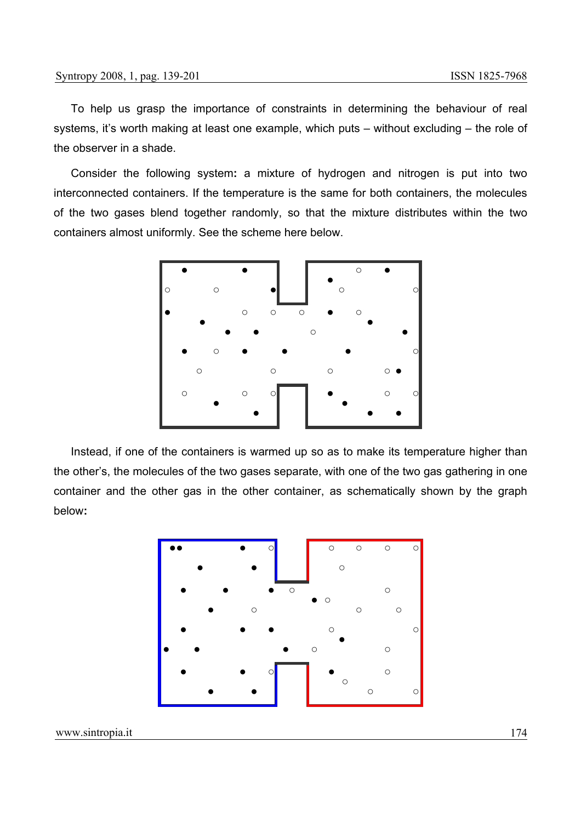To help us grasp the importance of constraints in determining the behaviour of real systems, it's worth making at least one example, which puts – without excluding – the role of the observer in a shade.

Consider the following system**:** a mixture of hydrogen and nitrogen is put into two interconnected containers. If the temperature is the same for both containers, the molecules of the two gases blend together randomly, so that the mixture distributes within the two containers almost uniformly. See the scheme here below.



Instead, if one of the containers is warmed up so as to make its temperature higher than the other's, the molecules of the two gases separate, with one of the two gas gathering in one container and the other gas in the other container, as schematically shown by the graph below**:** 

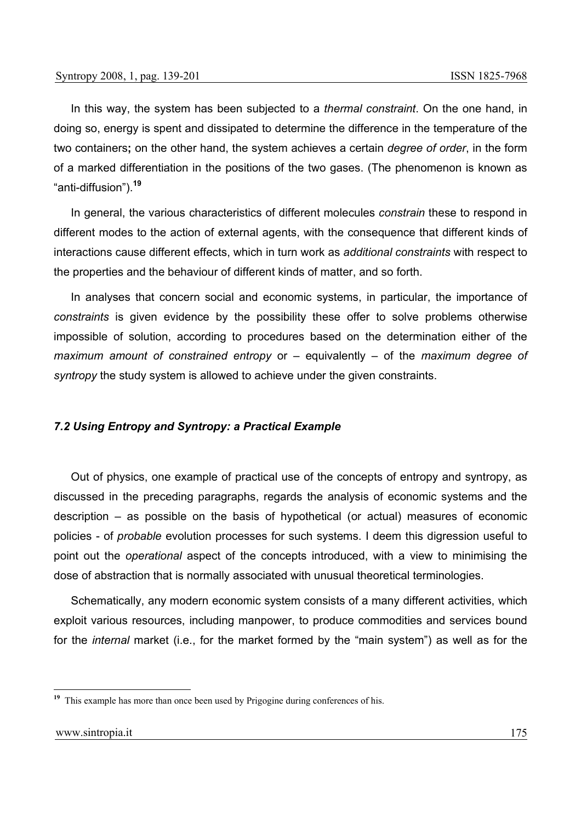In this way, the system has been subjected to a *thermal constraint*. On the one hand, in doing so, energy is spent and dissipated to determine the difference in the temperature of the two containers**;** on the other hand, the system achieves a certain *degree of order*, in the form of a marked differentiation in the positions of the two gases. (The phenomenon is known as "anti-diffusion").**<sup>19</sup>**

In general, the various characteristics of different molecules *constrain* these to respond in different modes to the action of external agents, with the consequence that different kinds of interactions cause different effects, which in turn work as *additional constraints* with respect to the properties and the behaviour of different kinds of matter, and so forth.

In analyses that concern social and economic systems, in particular, the importance of *constraints* is given evidence by the possibility these offer to solve problems otherwise impossible of solution, according to procedures based on the determination either of the *maximum amount of constrained entropy* or – equivalently – of the *maximum degree of syntropy* the study system is allowed to achieve under the given constraints.

### *7.2 Using Entropy and Syntropy: a Practical Example*

Out of physics, one example of practical use of the concepts of entropy and syntropy, as discussed in the preceding paragraphs, regards the analysis of economic systems and the description – as possible on the basis of hypothetical (or actual) measures of economic policies - of *probable* evolution processes for such systems. I deem this digression useful to point out the *operational* aspect of the concepts introduced, with a view to minimising the dose of abstraction that is normally associated with unusual theoretical terminologies.

Schematically, any modern economic system consists of a many different activities, which exploit various resources, including manpower, to produce commodities and services bound for the *internal* market (i.e., for the market formed by the "main system") as well as for the

<sup>&</sup>lt;sup>19</sup> This example has more than once been used by Prigogine during conferences of his.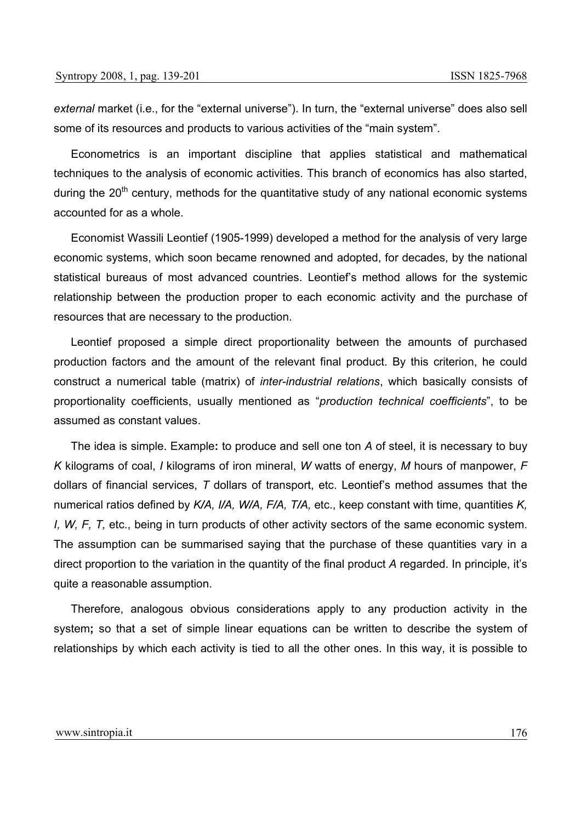*external* market (i.e., for the "external universe"). In turn, the "external universe" does also sell some of its resources and products to various activities of the "main system".

Econometrics is an important discipline that applies statistical and mathematical techniques to the analysis of economic activities. This branch of economics has also started, during the  $20<sup>th</sup>$  century, methods for the quantitative study of any national economic systems accounted for as a whole.

Economist Wassili Leontief (1905-1999) developed a method for the analysis of very large economic systems, which soon became renowned and adopted, for decades, by the national statistical bureaus of most advanced countries. Leontief's method allows for the systemic relationship between the production proper to each economic activity and the purchase of resources that are necessary to the production.

Leontief proposed a simple direct proportionality between the amounts of purchased production factors and the amount of the relevant final product. By this criterion, he could construct a numerical table (matrix) of *inter-industrial relations*, which basically consists of proportionality coefficients, usually mentioned as "*production technical coefficients*", to be assumed as constant values.

The idea is simple. Example**:** to produce and sell one ton *A* of steel, it is necessary to buy *K* kilograms of coal, *I* kilograms of iron mineral, *W* watts of energy, *M* hours of manpower, *F* dollars of financial services, *T* dollars of transport, etc. Leontief's method assumes that the numerical ratios defined by *K/A, I/A, W/A, F/A, T/A,* etc., keep constant with time, quantities *K, I, W, F, T,* etc., being in turn products of other activity sectors of the same economic system. The assumption can be summarised saying that the purchase of these quantities vary in a direct proportion to the variation in the quantity of the final product *A* regarded. In principle, it's quite a reasonable assumption.

Therefore, analogous obvious considerations apply to any production activity in the system**;** so that a set of simple linear equations can be written to describe the system of relationships by which each activity is tied to all the other ones. In this way, it is possible to

### www.sintropia.it 176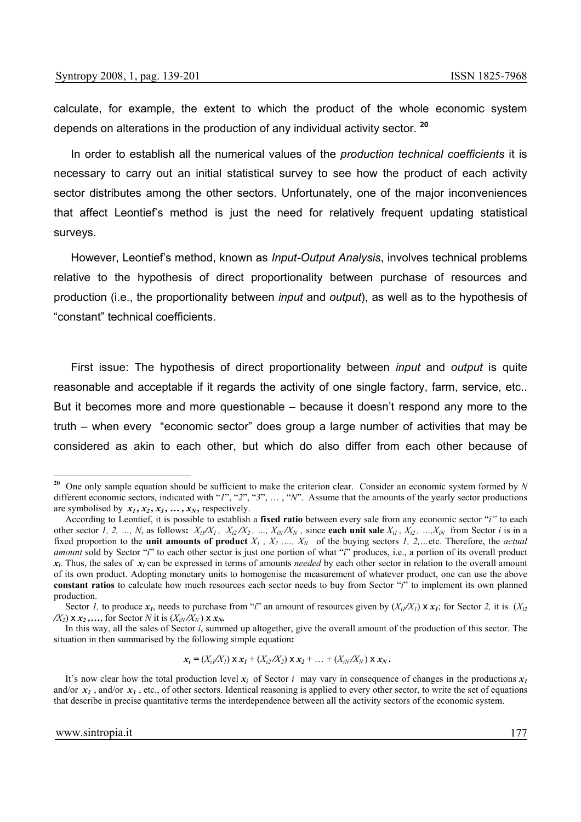calculate, for example, the extent to which the product of the whole economic system depends on alterations in the production of any individual activity sector. **<sup>20</sup>**

In order to establish all the numerical values of the *production technical coefficients* it is necessary to carry out an initial statistical survey to see how the product of each activity sector distributes among the other sectors. Unfortunately, one of the major inconveniences that affect Leontief's method is just the need for relatively frequent updating statistical surveys.

However, Leontief's method, known as *Input-Output Analysis*, involves technical problems relative to the hypothesis of direct proportionality between purchase of resources and production (i.e., the proportionality between *input* and *output*), as well as to the hypothesis of "constant" technical coefficients.

First issue: The hypothesis of direct proportionality between *input* and *output* is quite reasonable and acceptable if it regards the activity of one single factory, farm, service, etc.. But it becomes more and more questionable – because it doesn't respond any more to the truth – when every "economic sector" does group a large number of activities that may be considered as akin to each other, but which do also differ from each other because of

 $\bf{x}_i = (X_i/X_i) \times \bf{x}_1 + (X_i/X_2) \times \bf{x}_2 + ... + (X_i/X_N) \times \bf{x}_N$ .

**<sup>20</sup>** One only sample equation should be sufficient to make the criterion clear. Consider an economic system formed by *N* different economic sectors, indicated with "*1*", "*2*", "*3*", … , "*N*". Assume that the amounts of the yearly sector productions are symbolised by  $x_1, x_2, x_3, \ldots, x_N$ , respectively.

According to Leontief, it is possible to establish a **fixed ratio** between every sale from any economic sector "*i"* to each other sector *I*, 2, …, *N*, as follows:  $X_i/X_1$ ,  $X_{i2}/X_2$ , …,  $X_{iN}/X_N$ , since each unit sale  $X_{i1}$ ,  $X_{i2}$ , …,  $X_{iN}$  from Sector *i* is in a fixed proportion to the **unit amounts of product**  $X_1$ ,  $X_2$ , ...,  $X_N$  of the buying sectors 1, 2, ... etc. Therefore, the *actual amount* sold by Sector "*i*" to each other sector is just one portion of what "*i*" produces, i.e., a portion of its overall product *xi*. Thus, the sales of *xi* can be expressed in terms of amounts *needed* by each other sector in relation to the overall amount of its own product. Adopting monetary units to homogenise the measurement of whatever product, one can use the above **constant ratios** to calculate how much resources each sector needs to buy from Sector "*i*" to implement its own planned production.

Sector *I*, to produce  $x_1$ , needs to purchase from "*i*" an amount of resources given by  $(X_i/X_i) \times x_1$ ; for Sector 2, it is  $(X_i Z_i)$  $\chi$ <sup>*X*</sup><sub>2</sub>) x *x*<sub>2</sub> ,..., for Sector *N* it is  $(X_{iN}/X_{N})$  x  $x_{N}$ .

In this way, all the sales of Sector *i*, summed up altogether, give the overall amount of the production of this sector. The situation in then summarised by the following simple equation**:** 

It's now clear how the total production level  $x_i$  of Sector *i* may vary in consequence of changes in the productions  $x_i$ and/or  $x_2$ , and/or  $x_3$ , etc., of other sectors. Identical reasoning is applied to every other sector, to write the set of equations that describe in precise quantitative terms the interdependence between all the activity sectors of the economic system.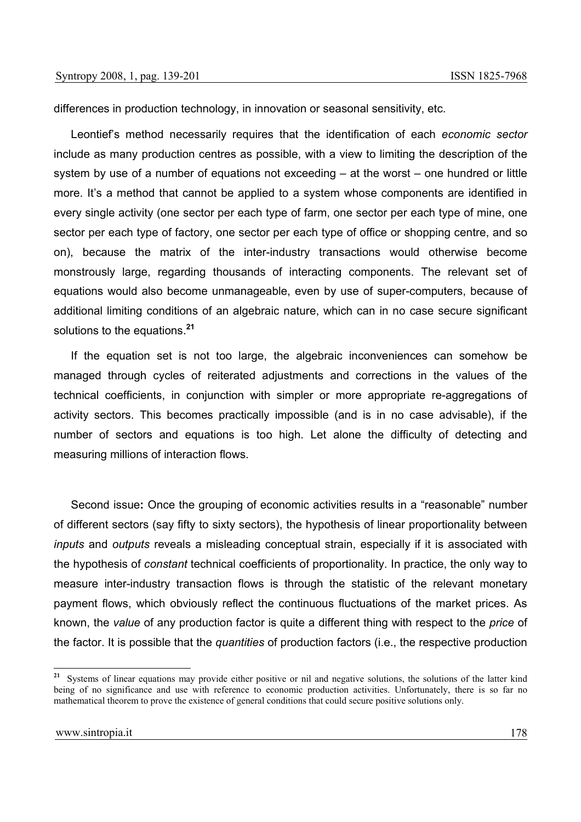differences in production technology, in innovation or seasonal sensitivity, etc.

Leontief's method necessarily requires that the identification of each *economic sector* include as many production centres as possible, with a view to limiting the description of the system by use of a number of equations not exceeding – at the worst – one hundred or little more. It's a method that cannot be applied to a system whose components are identified in every single activity (one sector per each type of farm, one sector per each type of mine, one sector per each type of factory, one sector per each type of office or shopping centre, and so on), because the matrix of the inter-industry transactions would otherwise become monstrously large, regarding thousands of interacting components. The relevant set of equations would also become unmanageable, even by use of super-computers, because of additional limiting conditions of an algebraic nature, which can in no case secure significant solutions to the equations.**<sup>21</sup>**

If the equation set is not too large, the algebraic inconveniences can somehow be managed through cycles of reiterated adjustments and corrections in the values of the technical coefficients, in conjunction with simpler or more appropriate re-aggregations of activity sectors. This becomes practically impossible (and is in no case advisable), if the number of sectors and equations is too high. Let alone the difficulty of detecting and measuring millions of interaction flows.

Second issue**:** Once the grouping of economic activities results in a "reasonable" number of different sectors (say fifty to sixty sectors), the hypothesis of linear proportionality between *inputs* and *outputs* reveals a misleading conceptual strain, especially if it is associated with the hypothesis of *constant* technical coefficients of proportionality. In practice, the only way to measure inter-industry transaction flows is through the statistic of the relevant monetary payment flows, which obviously reflect the continuous fluctuations of the market prices. As known, the *value* of any production factor is quite a different thing with respect to the *price* of the factor. It is possible that the *quantities* of production factors (i.e., the respective production

<sup>&</sup>lt;sup>21</sup> Systems of linear equations may provide either positive or nil and negative solutions, the solutions of the latter kind being of no significance and use with reference to economic production activities. Unfortunately, there is so far no mathematical theorem to prove the existence of general conditions that could secure positive solutions only.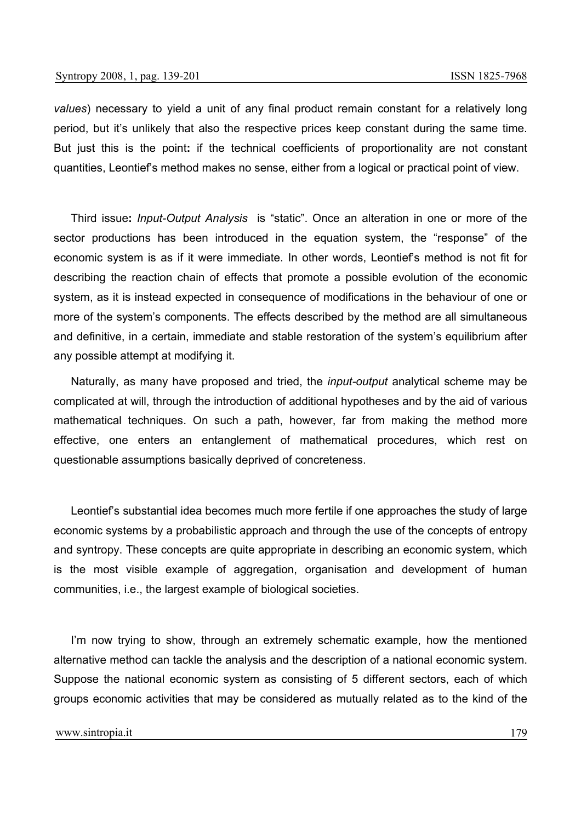*values*) necessary to yield a unit of any final product remain constant for a relatively long period, but it's unlikely that also the respective prices keep constant during the same time. But just this is the point**:** if the technical coefficients of proportionality are not constant quantities, Leontief's method makes no sense, either from a logical or practical point of view.

Third issue**:** *Input-Output Analysis* is "static". Once an alteration in one or more of the sector productions has been introduced in the equation system, the "response" of the economic system is as if it were immediate. In other words, Leontief's method is not fit for describing the reaction chain of effects that promote a possible evolution of the economic system, as it is instead expected in consequence of modifications in the behaviour of one or more of the system's components. The effects described by the method are all simultaneous and definitive, in a certain, immediate and stable restoration of the system's equilibrium after any possible attempt at modifying it.

Naturally, as many have proposed and tried, the *input-output* analytical scheme may be complicated at will, through the introduction of additional hypotheses and by the aid of various mathematical techniques. On such a path, however, far from making the method more effective, one enters an entanglement of mathematical procedures, which rest on questionable assumptions basically deprived of concreteness.

Leontief's substantial idea becomes much more fertile if one approaches the study of large economic systems by a probabilistic approach and through the use of the concepts of entropy and syntropy. These concepts are quite appropriate in describing an economic system, which is the most visible example of aggregation, organisation and development of human communities, i.e., the largest example of biological societies.

I'm now trying to show, through an extremely schematic example, how the mentioned alternative method can tackle the analysis and the description of a national economic system. Suppose the national economic system as consisting of 5 different sectors, each of which groups economic activities that may be considered as mutually related as to the kind of the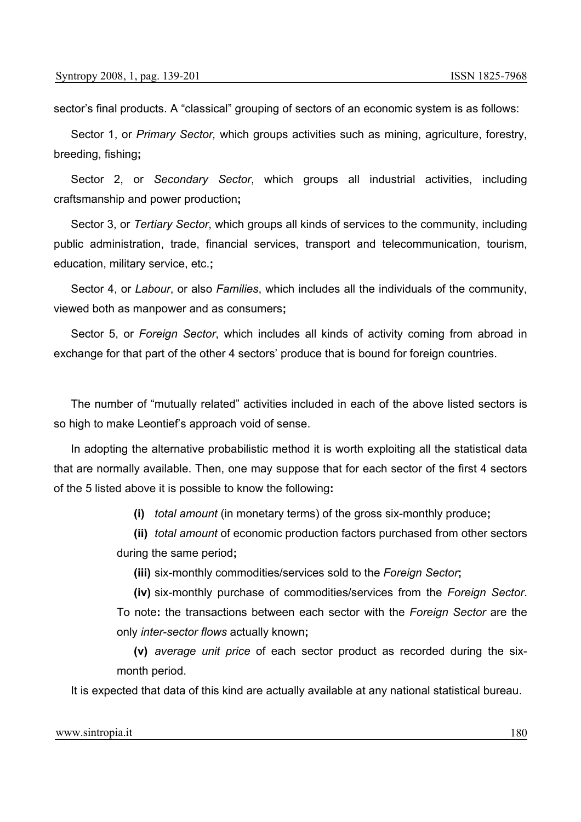sector's final products. A "classical" grouping of sectors of an economic system is as follows:

Sector 1, or *Primary Sector,* which groups activities such as mining, agriculture, forestry, breeding, fishing**;** 

Sector 2, or *Secondary Sector*, which groups all industrial activities, including craftsmanship and power production**;**

Sector 3, or *Tertiary Sector*, which groups all kinds of services to the community, including public administration, trade, financial services, transport and telecommunication, tourism, education, military service, etc.**;**

Sector 4, or *Labour*, or also *Families*, which includes all the individuals of the community, viewed both as manpower and as consumers**;** 

Sector 5, or *Foreign Sector*, which includes all kinds of activity coming from abroad in exchange for that part of the other 4 sectors' produce that is bound for foreign countries.

The number of "mutually related" activities included in each of the above listed sectors is so high to make Leontief's approach void of sense.

In adopting the alternative probabilistic method it is worth exploiting all the statistical data that are normally available. Then, one may suppose that for each sector of the first 4 sectors of the 5 listed above it is possible to know the following**:**

**(i)** *total amount* (in monetary terms) of the gross six-monthly produce**;**

**(ii)** *total amount* of economic production factors purchased from other sectors during the same period**;**

**(iii)** six-monthly commodities/services sold to the *Foreign Sector***;**

**(iv)** six-monthly purchase of commodities/services from the *Foreign Sector*. To note**:** the transactions between each sector with the *Foreign Sector* are the only *inter-sector flows* actually known**;**

**(v)** *average unit price* of each sector product as recorded during the sixmonth period.

It is expected that data of this kind are actually available at any national statistical bureau.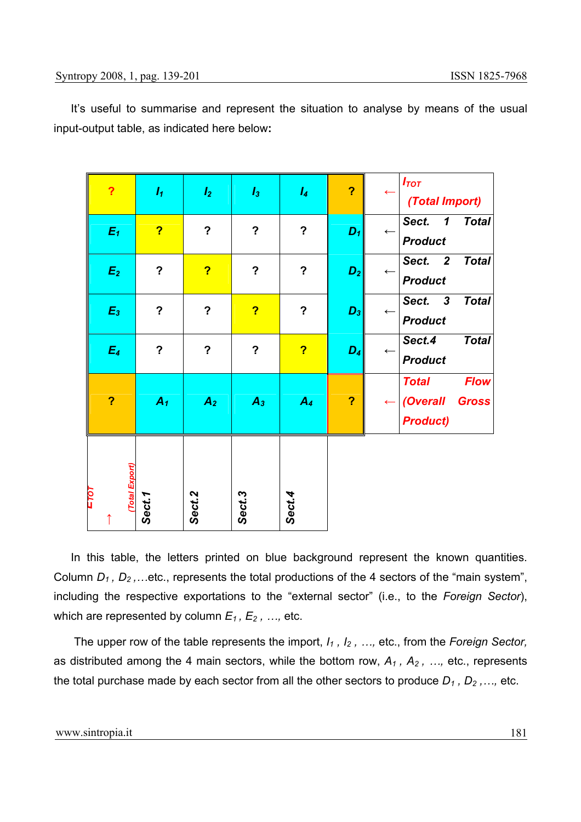It's useful to summarise and represent the situation to analyse by means of the usual input-output table, as indicated here below**:**

| $E_1$<br>$\boldsymbol{E_2}$ | $\overline{\mathbf{?}}$<br>$\overline{?}$<br>$\overline{?}$ | $\overline{\mathbf{?}}$<br>?<br>$\overline{?}$ | $\boldsymbol{?}$<br>$\overline{\mathbf{?}}$<br>$\overline{?}$ | $\boldsymbol{\mathsf{?}}$<br>$\overline{?}$<br>? | $D_1$<br>$D_2$ | $\leftarrow$<br>$\leftarrow$ | (Total Import)<br>Sect.<br><b>Total</b><br>$\boldsymbol{\mathcal{L}}$<br><b>Product</b><br>Sect. 2<br><b>Total</b><br><b>Product</b><br>Sect. 3<br><b>Total</b> |
|-----------------------------|-------------------------------------------------------------|------------------------------------------------|---------------------------------------------------------------|--------------------------------------------------|----------------|------------------------------|-----------------------------------------------------------------------------------------------------------------------------------------------------------------|
| $E_3$<br>$E_4$              | $\overline{\mathbf{?}}$                                     | $\boldsymbol{?}$                               | $\overline{\mathbf{?}}$                                       | $\overline{\mathbf{?}}$                          | $D_3$<br>$D_4$ | $\leftarrow$<br>$\leftarrow$ | <b>Product</b><br><b>Total</b><br>Sect.4<br><b>Product</b>                                                                                                      |
| $\overline{\mathbf{?}}$     | $A_1$                                                       | $\overline{A_2}$                               | $A_3$                                                         | A <sub>4</sub>                                   | $\overline{?}$ |                              | <b>Flow</b><br><b>Total</b><br>(Overall<br><b>Gross</b><br><b>Product)</b>                                                                                      |
| (Total Export)<br>E70T      | Sect.1                                                      | Sect.2                                         | Sect.3                                                        | Sect.4                                           |                |                              |                                                                                                                                                                 |

In this table, the letters printed on blue background represent the known quantities. Column *D<sub>1</sub>*, *D*<sub>2</sub>,...etc., represents the total productions of the 4 sectors of the "main system", including the respective exportations to the "external sector" (i.e., to the *Foreign Sector*), which are represented by column  $E_1, E_2, ...,$  etc.

 The upper row of the table represents the import, *I1 , I2 , …,* etc., from the *Foreign Sector,*  as distributed among the 4 main sectors, while the bottom row,  $A_1$ ,  $A_2$ , ..., etc., represents the total purchase made by each sector from all the other sectors to produce  $D_1$ ,  $D_2$ ,..., etc.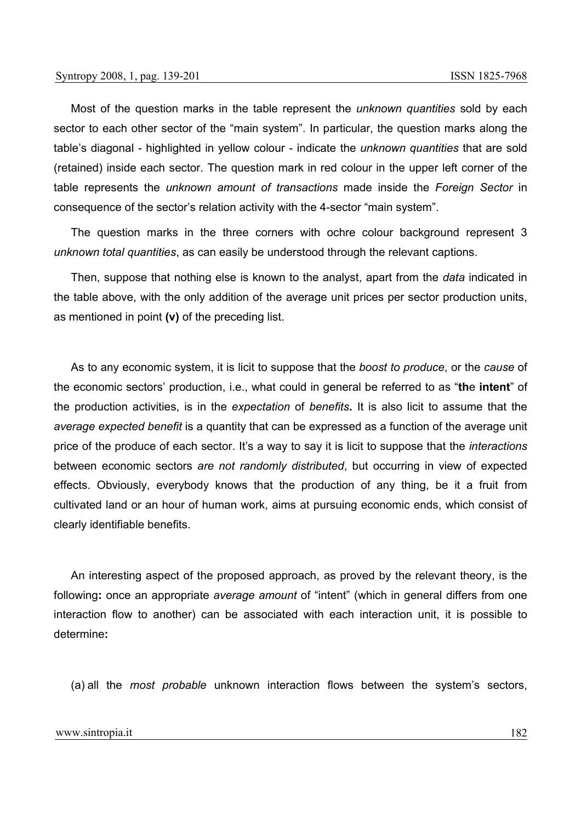Most of the question marks in the table represent the *unknown quantities* sold by each sector to each other sector of the "main system". In particular, the question marks along the table's diagonal - highlighted in yellow colour - indicate the *unknown quantities* that are sold (retained) inside each sector. The question mark in red colour in the upper left corner of the table represents the *unknown amount of transactions* made inside the *Foreign Sector* in consequence of the sector's relation activity with the 4-sector "main system".

The question marks in the three corners with ochre colour background represent 3 *unknown total quantities*, as can easily be understood through the relevant captions.

Then, suppose that nothing else is known to the analyst, apart from the *data* indicated in the table above, with the only addition of the average unit prices per sector production units, as mentioned in point **(v)** of the preceding list.

As to any economic system, it is licit to suppose that the *boost to produce*, or the *cause* of the economic sectors' production, i.e., what could in general be referred to as "**th**e **intent**" of the production activities, is in the *expectation* of *benefits***.** It is also licit to assume that the *average expected benefit* is a quantity that can be expressed as a function of the average unit price of the produce of each sector. It's a way to say it is licit to suppose that the *interactions*  between economic sectors *are not randomly distributed*, but occurring in view of expected effects. Obviously, everybody knows that the production of any thing, be it a fruit from cultivated land or an hour of human work, aims at pursuing economic ends, which consist of clearly identifiable benefits.

An interesting aspect of the proposed approach, as proved by the relevant theory, is the following**:** once an appropriate *average amount* of "intent" (which in general differs from one interaction flow to another) can be associated with each interaction unit, it is possible to determine**:** 

(a) all the *most probable* unknown interaction flows between the system's sectors,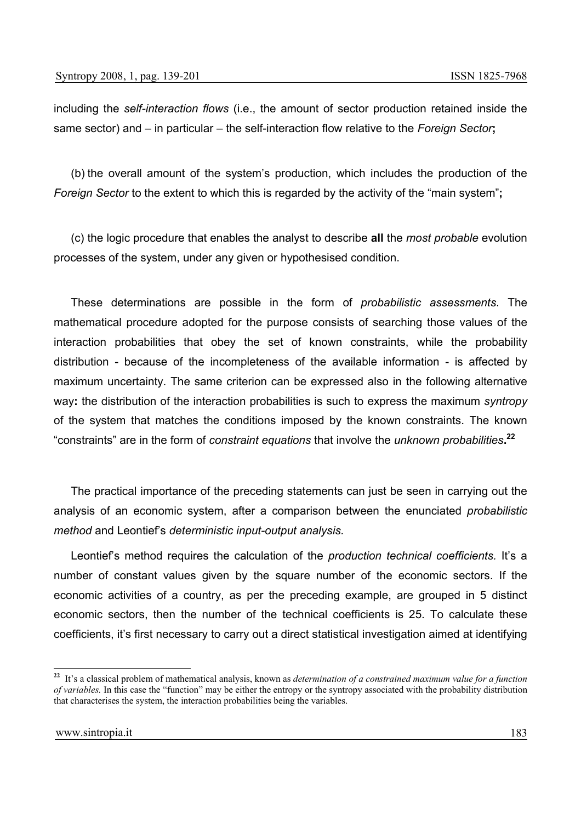including the *self-interaction flows* (i.e., the amount of sector production retained inside the same sector) and – in particular – the self-interaction flow relative to the *Foreign Sector***;** 

(b) the overall amount of the system's production, which includes the production of the *Foreign Sector* to the extent to which this is regarded by the activity of the "main system"**;**

(c) the logic procedure that enables the analyst to describe **all** the *most probable* evolution processes of the system, under any given or hypothesised condition.

These determinations are possible in the form of *probabilistic assessments*. The mathematical procedure adopted for the purpose consists of searching those values of the interaction probabilities that obey the set of known constraints, while the probability distribution - because of the incompleteness of the available information - is affected by maximum uncertainty. The same criterion can be expressed also in the following alternative way**:** the distribution of the interaction probabilities is such to express the maximum *syntropy* of the system that matches the conditions imposed by the known constraints. The known "constraints" are in the form of *constraint equations* that involve the *unknown probabilities***. 22**

The practical importance of the preceding statements can just be seen in carrying out the analysis of an economic system, after a comparison between the enunciated *probabilistic method* and Leontief's *deterministic input-output analysis.*

Leontief's method requires the calculation of the *production technical coefficients.* It's a number of constant values given by the square number of the economic sectors. If the economic activities of a country, as per the preceding example, are grouped in 5 distinct economic sectors, then the number of the technical coefficients is 25. To calculate these coefficients, it's first necessary to carry out a direct statistical investigation aimed at identifying

**<sup>22</sup>** It's a classical problem of mathematical analysis, known as *determination of a constrained maximum value for a function of variables.* In this case the "function" may be either the entropy or the syntropy associated with the probability distribution that characterises the system, the interaction probabilities being the variables.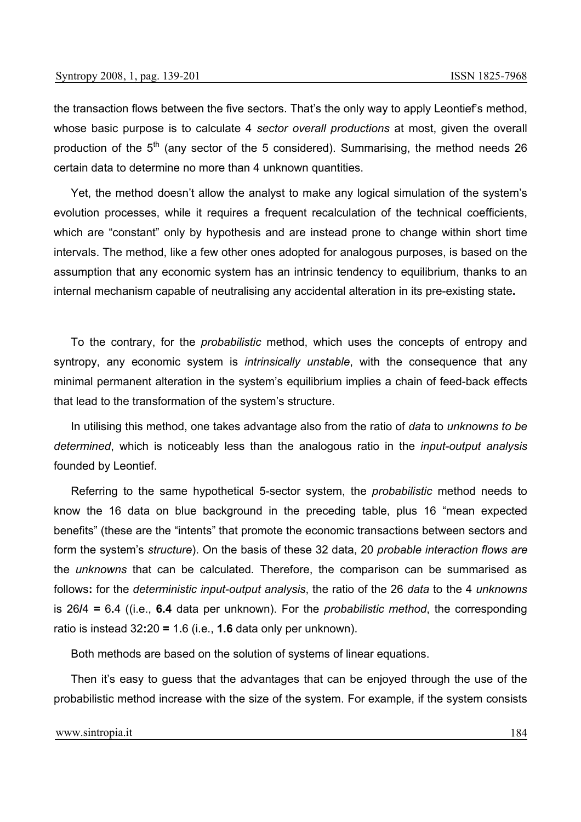the transaction flows between the five sectors. That's the only way to apply Leontief's method, whose basic purpose is to calculate 4 *sector overall productions* at most, given the overall production of the  $5<sup>th</sup>$  (any sector of the 5 considered). Summarising, the method needs 26 certain data to determine no more than 4 unknown quantities.

Yet, the method doesn't allow the analyst to make any logical simulation of the system's evolution processes, while it requires a frequent recalculation of the technical coefficients, which are "constant" only by hypothesis and are instead prone to change within short time intervals. The method, like a few other ones adopted for analogous purposes, is based on the assumption that any economic system has an intrinsic tendency to equilibrium, thanks to an internal mechanism capable of neutralising any accidental alteration in its pre-existing state**.** 

To the contrary, for the *probabilistic* method, which uses the concepts of entropy and syntropy, any economic system is *intrinsically unstable*, with the consequence that any minimal permanent alteration in the system's equilibrium implies a chain of feed-back effects that lead to the transformation of the system's structure.

In utilising this method, one takes advantage also from the ratio of *data* to *unknowns to be determined*, which is noticeably less than the analogous ratio in the *input-output analysis* founded by Leontief.

Referring to the same hypothetical 5-sector system, the *probabilistic* method needs to know the 16 data on blue background in the preceding table, plus 16 "mean expected benefits" (these are the "intents" that promote the economic transactions between sectors and form the system's *structure*). On the basis of these 32 data, 20 *probable interaction flows are*  the *unknowns* that can be calculated*.* Therefore, the comparison can be summarised as follows**:** for the *deterministic input-output analysis*, the ratio of the 26 *data* to the 4 *unknowns*  is 26**/**4 **=** 6**.**4 ((i.e., **6.4** data per unknown). For the *probabilistic method*, the corresponding ratio is instead 32**:**20 **=** 1**.**6 (i.e., **1.6** data only per unknown).

Both methods are based on the solution of systems of linear equations.

Then it's easy to guess that the advantages that can be enjoyed through the use of the probabilistic method increase with the size of the system. For example, if the system consists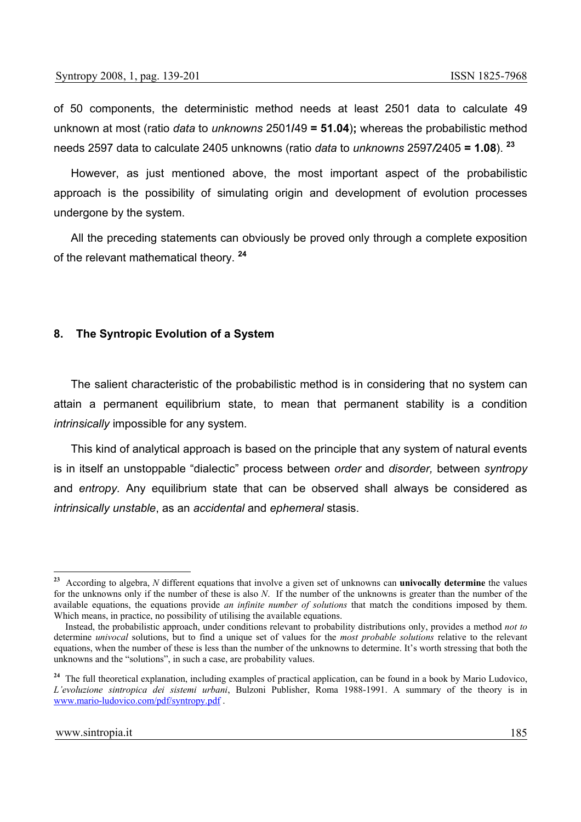of 50 components, the deterministic method needs at least 2501 data to calculate 49 unknown at most (ratio *data* to *unknowns* 2501**/**49 **= 51.04**)**;** whereas the probabilistic method needs 2597 data to calculate 2405 unknowns (ratio *data* to *unknowns* 2597*/*2405 **= 1.08**). **<sup>23</sup>**

However, as just mentioned above, the most important aspect of the probabilistic approach is the possibility of simulating origin and development of evolution processes undergone by the system.

All the preceding statements can obviously be proved only through a complete exposition of the relevant mathematical theory. **<sup>24</sup>**

#### **8. The Syntropic Evolution of a System**

The salient characteristic of the probabilistic method is in considering that no system can attain a permanent equilibrium state, to mean that permanent stability is a condition *intrinsically* impossible for any system.

This kind of analytical approach is based on the principle that any system of natural events is in itself an unstoppable "dialectic" process between *order* and *disorder,* between *syntropy* and *entropy.* Any equilibrium state that can be observed shall always be considered as *intrinsically unstable*, as an *accidental* and *ephemeral* stasis.

 $\overline{a}$ 

**<sup>23</sup>** According to algebra, *N* different equations that involve a given set of unknowns can **univocally determine** the values for the unknowns only if the number of these is also *N*. If the number of the unknowns is greater than the number of the available equations, the equations provide *an infinite number of solutions* that match the conditions imposed by them. Which means, in practice, no possibility of utilising the available equations.

Instead, the probabilistic approach, under conditions relevant to probability distributions only, provides a method *not to*  determine *univocal* solutions, but to find a unique set of values for the *most probable solutions* relative to the relevant equations, when the number of these is less than the number of the unknowns to determine. It's worth stressing that both the unknowns and the "solutions", in such a case, are probability values.

<sup>&</sup>lt;sup>24</sup> The full theoretical explanation, including examples of practical application, can be found in a book by Mario Ludovico, *L'evoluzione sintropica dei sistemi urbani*, Bulzoni Publisher, Roma 1988-1991. A summary of the theory is in www.mario-ludovico.com/pdf/syntropy.pdf .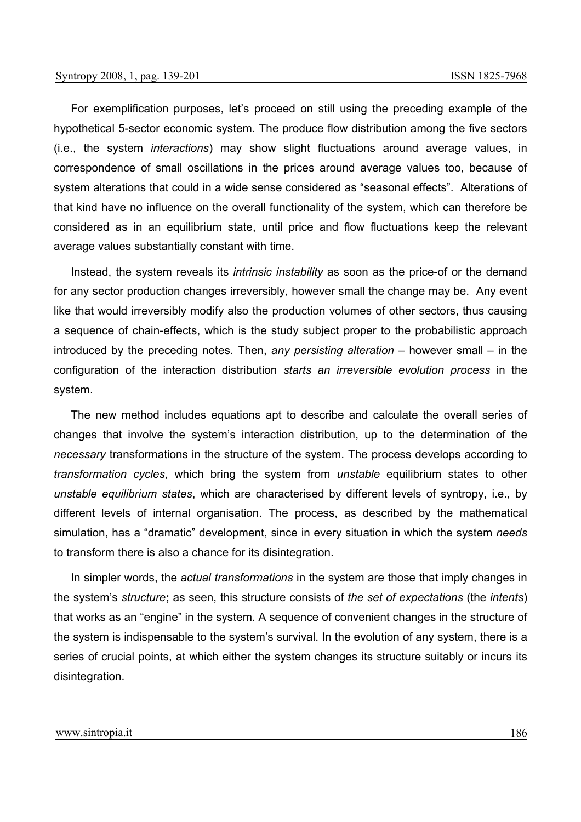For exemplification purposes, let's proceed on still using the preceding example of the hypothetical 5-sector economic system. The produce flow distribution among the five sectors (i.e., the system *interactions*) may show slight fluctuations around average values, in correspondence of small oscillations in the prices around average values too, because of system alterations that could in a wide sense considered as "seasonal effects". Alterations of that kind have no influence on the overall functionality of the system, which can therefore be considered as in an equilibrium state, until price and flow fluctuations keep the relevant average values substantially constant with time.

Instead, the system reveals its *intrinsic instability* as soon as the price-of or the demand for any sector production changes irreversibly, however small the change may be. Any event like that would irreversibly modify also the production volumes of other sectors, thus causing a sequence of chain-effects, which is the study subject proper to the probabilistic approach introduced by the preceding notes. Then, *any persisting alteration* – however small – in the configuration of the interaction distribution *starts an irreversible evolution process* in the system.

The new method includes equations apt to describe and calculate the overall series of changes that involve the system's interaction distribution, up to the determination of the *necessary* transformations in the structure of the system. The process develops according to *transformation cycles*, which bring the system from *unstable* equilibrium states to other *unstable equilibrium states*, which are characterised by different levels of syntropy, i.e., by different levels of internal organisation. The process, as described by the mathematical simulation, has a "dramatic" development, since in every situation in which the system *needs* to transform there is also a chance for its disintegration.

In simpler words, the *actual transformations* in the system are those that imply changes in the system's *structure***;** as seen, this structure consists of *the set of expectations* (the *intents*) that works as an "engine" in the system. A sequence of convenient changes in the structure of the system is indispensable to the system's survival. In the evolution of any system, there is a series of crucial points, at which either the system changes its structure suitably or incurs its disintegration.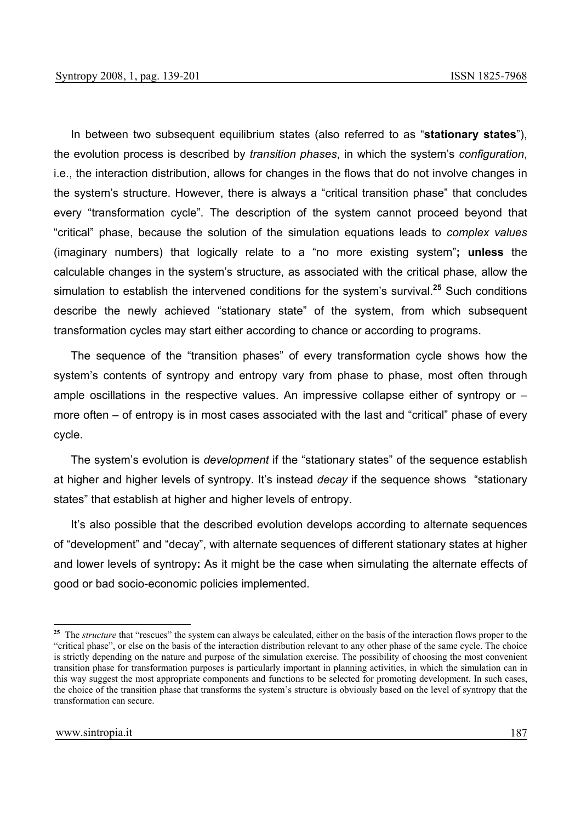In between two subsequent equilibrium states (also referred to as "**stationary states**"), the evolution process is described by *transition phases*, in which the system's *configuration*, i.e., the interaction distribution, allows for changes in the flows that do not involve changes in the system's structure. However, there is always a "critical transition phase" that concludes every "transformation cycle". The description of the system cannot proceed beyond that "critical" phase, because the solution of the simulation equations leads to *complex values* (imaginary numbers) that logically relate to a "no more existing system"**; unless** the calculable changes in the system's structure, as associated with the critical phase, allow the simulation to establish the intervened conditions for the system's survival.**<sup>25</sup>** Such conditions describe the newly achieved "stationary state" of the system, from which subsequent transformation cycles may start either according to chance or according to programs.

The sequence of the "transition phases" of every transformation cycle shows how the system's contents of syntropy and entropy vary from phase to phase, most often through ample oscillations in the respective values. An impressive collapse either of syntropy or – more often – of entropy is in most cases associated with the last and "critical" phase of every cycle.

The system's evolution is *development* if the "stationary states" of the sequence establish at higher and higher levels of syntropy. It's instead *decay* if the sequence shows "stationary states" that establish at higher and higher levels of entropy.

It's also possible that the described evolution develops according to alternate sequences of "development" and "decay", with alternate sequences of different stationary states at higher and lower levels of syntropy**:** As it might be the case when simulating the alternate effects of good or bad socio-economic policies implemented.

<sup>&</sup>lt;sup>25</sup> The *structure* that "rescues" the system can always be calculated, either on the basis of the interaction flows proper to the "critical phase", or else on the basis of the interaction distribution relevant to any other phase of the same cycle. The choice is strictly depending on the nature and purpose of the simulation exercise. The possibility of choosing the most convenient transition phase for transformation purposes is particularly important in planning activities, in which the simulation can in this way suggest the most appropriate components and functions to be selected for promoting development. In such cases, the choice of the transition phase that transforms the system's structure is obviously based on the level of syntropy that the transformation can secure.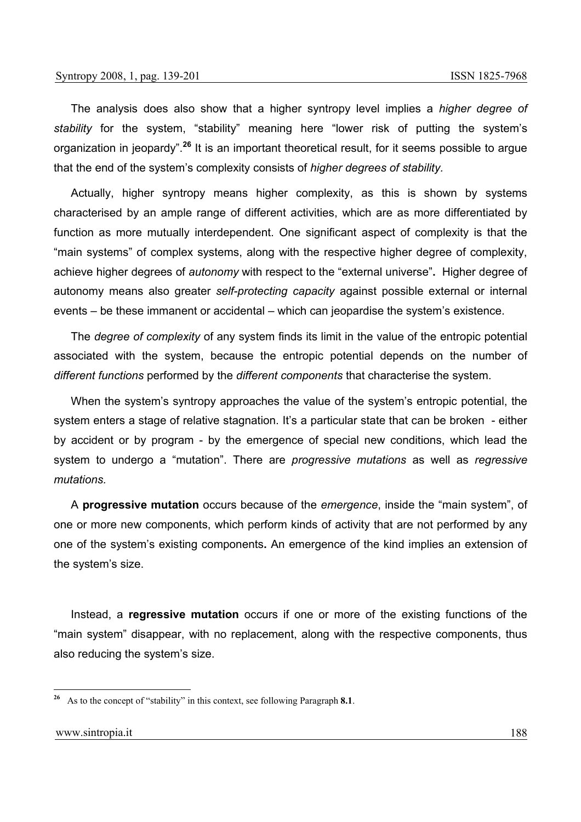The analysis does also show that a higher syntropy level implies a *higher degree of stability* for the system, "stability" meaning here "lower risk of putting the system's organization in jeopardy".**<sup>26</sup>** It is an important theoretical result, for it seems possible to argue that the end of the system's complexity consists of *higher degrees of stability.*

Actually, higher syntropy means higher complexity, as this is shown by systems characterised by an ample range of different activities, which are as more differentiated by function as more mutually interdependent. One significant aspect of complexity is that the "main systems" of complex systems, along with the respective higher degree of complexity, achieve higher degrees of *autonomy* with respect to the "external universe"**.** Higher degree of autonomy means also greater *self-protecting capacity* against possible external or internal events – be these immanent or accidental – which can jeopardise the system's existence.

The *degree of complexity* of any system finds its limit in the value of the entropic potential associated with the system, because the entropic potential depends on the number of *different functions* performed by the *different components* that characterise the system.

When the system's syntropy approaches the value of the system's entropic potential, the system enters a stage of relative stagnation. It's a particular state that can be broken - either by accident or by program - by the emergence of special new conditions, which lead the system to undergo a "mutation". There are *progressive mutations* as well as *regressive mutations.* 

A **progressive mutation** occurs because of the *emergence*, inside the "main system", of one or more new components, which perform kinds of activity that are not performed by any one of the system's existing components**.** An emergence of the kind implies an extension of the system's size.

Instead, a **regressive mutation** occurs if one or more of the existing functions of the "main system" disappear, with no replacement, along with the respective components, thus also reducing the system's size.

**<sup>26</sup>** As to the concept of "stability" in this context, see following Paragraph **8.1**.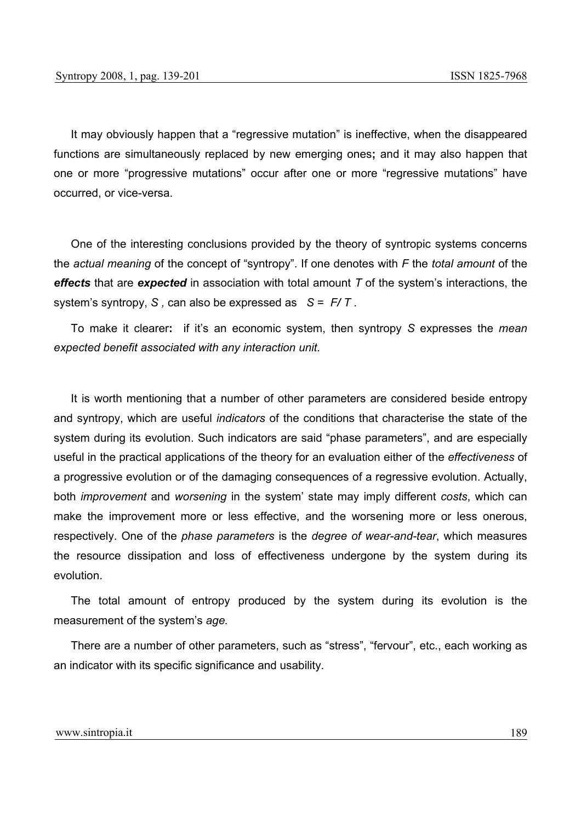It may obviously happen that a "regressive mutation" is ineffective, when the disappeared functions are simultaneously replaced by new emerging ones**;** and it may also happen that one or more "progressive mutations" occur after one or more "regressive mutations" have occurred, or vice-versa.

One of the interesting conclusions provided by the theory of syntropic systems concerns the *actual meaning* of the concept of "syntropy". If one denotes with *F* the *total amount* of the *effects* that are *expected* in association with total amount *T* of the system's interactions, the system's syntropy, *S ,* can also be expressed as*S* = *F/ T* .

To make it clearer**:** if it's an economic system, then syntropy *S* expresses the *mean expected benefit associated with any interaction unit.*

It is worth mentioning that a number of other parameters are considered beside entropy and syntropy, which are useful *indicators* of the conditions that characterise the state of the system during its evolution. Such indicators are said "phase parameters", and are especially useful in the practical applications of the theory for an evaluation either of the *effectiveness* of a progressive evolution or of the damaging consequences of a regressive evolution. Actually, both *improvement* and *worsening* in the system' state may imply different *costs*, which can make the improvement more or less effective, and the worsening more or less onerous, respectively. One of the *phase parameters* is the *degree of wear-and-tear*, which measures the resource dissipation and loss of effectiveness undergone by the system during its evolution.

The total amount of entropy produced by the system during its evolution is the measurement of the system's *age.* 

There are a number of other parameters, such as "stress", "fervour", etc., each working as an indicator with its specific significance and usability.

#### www.sintropia.it 189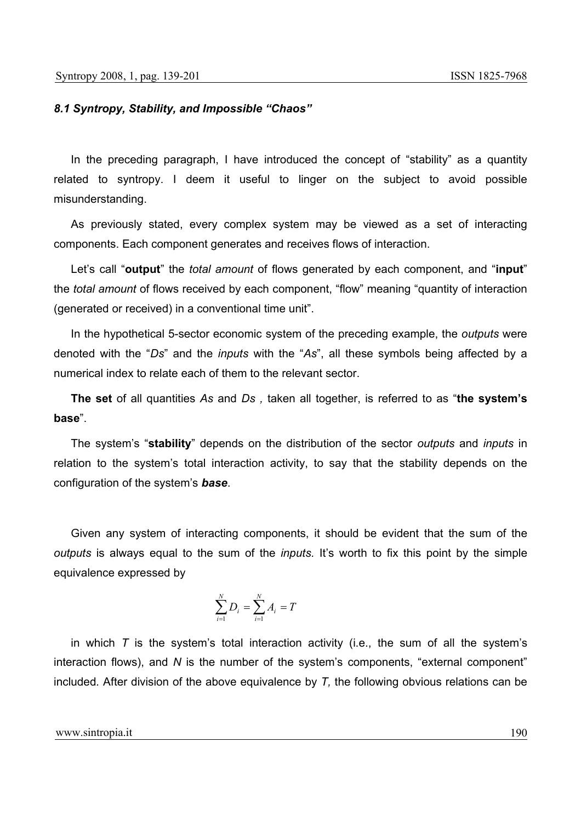#### *8.1 Syntropy, Stability, and Impossible "Chaos"*

In the preceding paragraph, I have introduced the concept of "stability" as a quantity related to syntropy. I deem it useful to linger on the subject to avoid possible misunderstanding.

As previously stated, every complex system may be viewed as a set of interacting components. Each component generates and receives flows of interaction.

Let's call "**output**" the *total amount* of flows generated by each component, and "**input**" the *total amount* of flows received by each component, "flow" meaning "quantity of interaction (generated or received) in a conventional time unit".

In the hypothetical 5-sector economic system of the preceding example, the *outputs* were denoted with the "*Ds*" and the *inputs* with the "*As*", all these symbols being affected by a numerical index to relate each of them to the relevant sector.

**The set** of all quantities *As* and *Ds ,* taken all together, is referred to as "**the system's base**".

The system's "**stability**" depends on the distribution of the sector *outputs* and *inputs* in relation to the system's total interaction activity, to say that the stability depends on the configuration of the system's *base*.

Given any system of interacting components, it should be evident that the sum of the *outputs* is always equal to the sum of the *inputs.* It's worth to fix this point by the simple equivalence expressed by

$$
\sum_{i=1}^N D_i = \sum_{i=1}^N A_i = T
$$

in which *T* is the system's total interaction activity (i.e., the sum of all the system's interaction flows), and *N* is the number of the system's components, "external component" included*.* After division of the above equivalence by *T,* the following obvious relations can be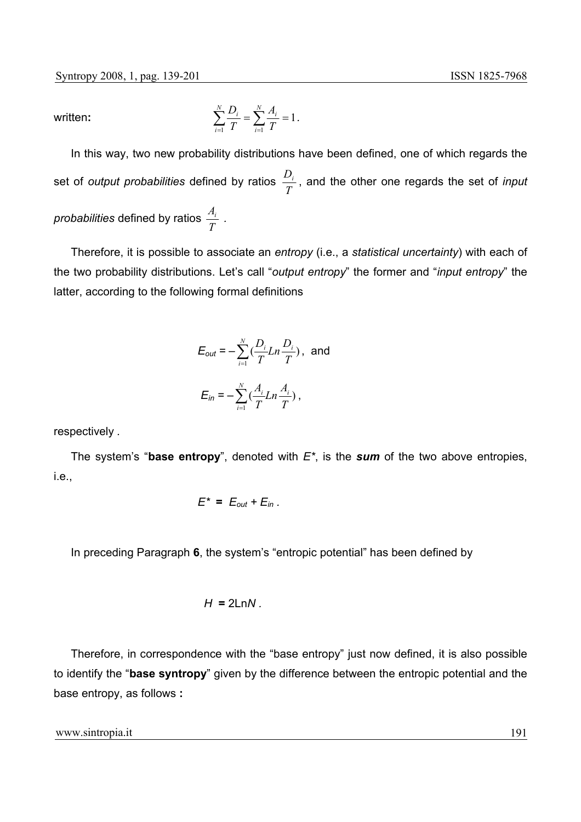written:

$$
\sum_{i=1}^{N} \frac{D_i}{T} = \sum_{i=1}^{N} \frac{A_i}{T} = 1.
$$

In this way, two new probability distributions have been defined, one of which regards the set of *output probabilities* defined by ratios  $\frac{D_i}{T}$ , and the other one regards the set of *input probabilities* defined by ratios  $\frac{A_i}{T}$  .

Therefore, it is possible to associate an *entropy* (i.e., a *statistical uncertainty*) with each of the two probability distributions. Let's call "*output entropy*" the former and "*input entropy*" the latter, according to the following formal definitions

$$
E_{out} = -\sum_{i=1}^{N} \left( \frac{D_i}{T} Ln \frac{D_i}{T} \right), \text{ and}
$$

$$
E_{in} = -\sum_{i=1}^{N} \left( \frac{A_i}{T} Ln \frac{A_i}{T} \right),
$$

respectively *.* 

The system's "**base entropy**", denoted with *E\**, is the *sum* of the two above entropies, i.e.,

$$
E^* = E_{out} + E_{in}.
$$

In preceding Paragraph **6**, the system's "entropic potential" has been defined by

$$
H = 2 \ln N
$$

Therefore, in correspondence with the "base entropy" just now defined, it is also possible to identify the "**base syntropy**" given by the difference between the entropic potential and the base entropy, as follows **:** 

www.sintropia.it 191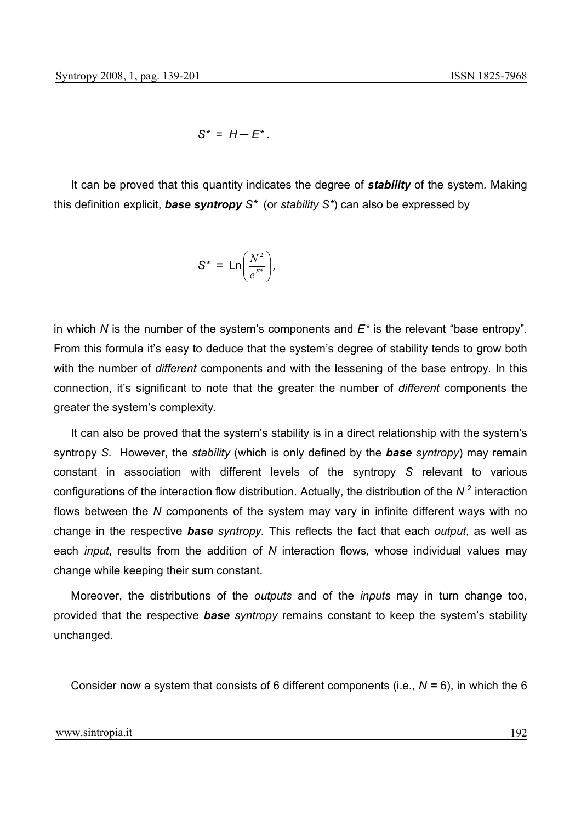$S^* = H - E^*$ .

It can be proved that this quantity indicates the degree of *stability* of the system*.* Making this definition explicit, *base syntropy S\** (or *stability S\**) can also be expressed by

$$
S^* = Ln\left(\frac{N^2}{e^{E^*}}\right),
$$

in which *N* is the number of the system's components and *E\** is the relevant "base entropy"*.* From this formula it's easy to deduce that the system's degree of stability tends to grow both with the number of *different* components and with the lessening of the base entropy*.* In this connection, it's significant to note that the greater the number of *different* components the greater the system's complexity*.*

It can also be proved that the system's stability is in a direct relationship with the system's syntropy *S.* However, the *stability* (which is only defined by the *base syntropy*) may remain constant in association with different levels of the syntropy *S* relevant to various configurations of the interaction flow distribution*.* Actually, the distribution of the *N* <sup>2</sup> interaction flows between the *N* components of the system may vary in infinite different ways with no change in the respective *base syntropy.* This reflects the fact that each *output*, as well as each *input*, results from the addition of *N* interaction flows, whose individual values may change while keeping their sum constant*.*

Moreover, the distributions of the *outputs* and of the *inputs* may in turn change too, provided that the respective *base syntropy* remains constant to keep the system's stability unchanged*.*

Consider now a system that consists of 6 different components (i.e., *N =* 6), in which the 6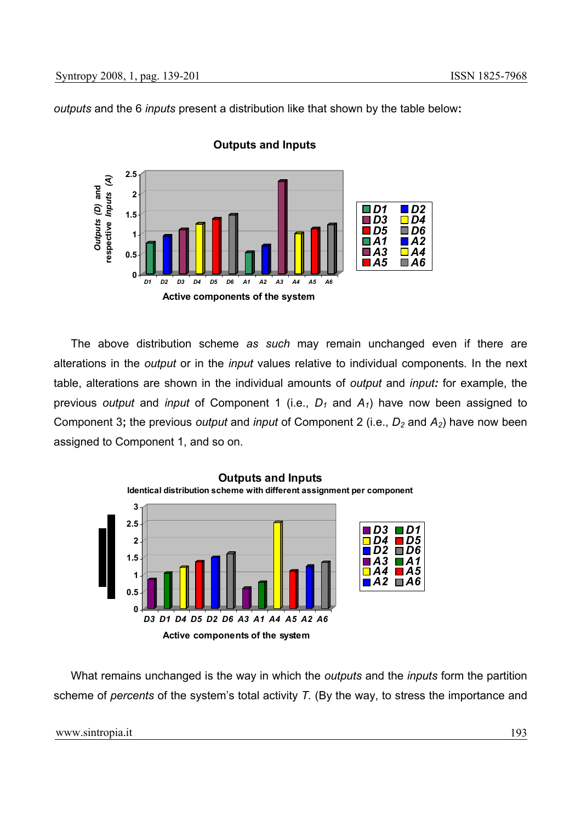*outputs* and the 6 *inputs* present a distribution like that shown by the table below**:** 



## **Outputs and Inputs**

The above distribution scheme *as such* may remain unchanged even if there are alterations in the *output* or in the *input* values relative to individual components*.* In the next table, alterations are shown in the individual amounts of *output* and *input:* for example, the previous *output* and *input* of Component 1 (i.e.,  $D_1$  and  $A_1$ ) have now been assigned to Component 3; the previous *output* and *input* of Component 2 (i.e., *D<sub>2</sub>* and *A<sub>2</sub>*) have now been assigned to Component 1, and so on.



What remains unchanged is the way in which the *outputs* and the *inputs* form the partition scheme of *percents* of the system's total activity *T.* (By the way, to stress the importance and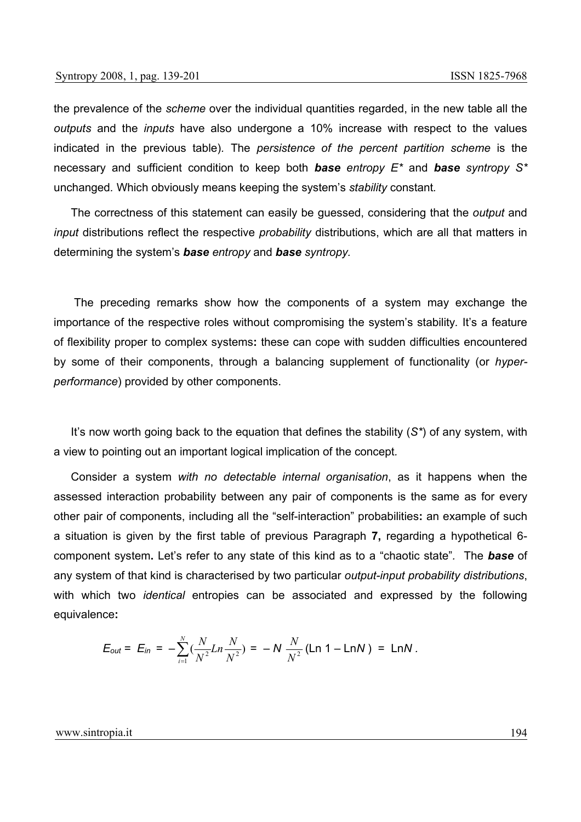the prevalence of the *scheme* over the individual quantities regarded, in the new table all the *outputs* and the *inputs* have also undergone a 10% increase with respect to the values indicated in the previous table)*.* The *persistence of the percent partition scheme* is the necessary and sufficient condition to keep both *base entropy E\** and *base syntropy S\** unchanged*.* Which obviously means keeping the system's *stability* constant*.*

The correctness of this statement can easily be guessed, considering that the *output* and *input* distributions reflect the respective *probability* distributions, which are all that matters in determining the system's *base entropy* and *base syntropy.*

 The preceding remarks show how the components of a system may exchange the importance of the respective roles without compromising the system's stability*.* It's a feature of flexibility proper to complex systems**:** these can cope with sudden difficulties encountered by some of their components, through a balancing supplement of functionality (or *hyperperformance*) provided by other components.

It's now worth going back to the equation that defines the stability (*S\**) of any system, with a view to pointing out an important logical implication of the concept*.* 

Consider a system *with no detectable internal organisation*, as it happens when the assessed interaction probability between any pair of components is the same as for every other pair of components, including all the "self-interaction" probabilities**:** an example of such a situation is given by the first table of previous Paragraph **7,** regarding a hypothetical 6 component system**.** Let's refer to any state of this kind as to a "chaotic state"*.* The *base* of any system of that kind is characterised by two particular *output-input probability distributions*, with which two *identical* entropies can be associated and expressed by the following equivalence**:** 

$$
E_{out} = E_{in} = -\sum_{i=1}^{N} \left( \frac{N}{N^2} Ln \frac{N}{N^2} \right) = -N \frac{N}{N^2} (Ln 1 - LnN) = LnN.
$$

#### www.sintropia.it 194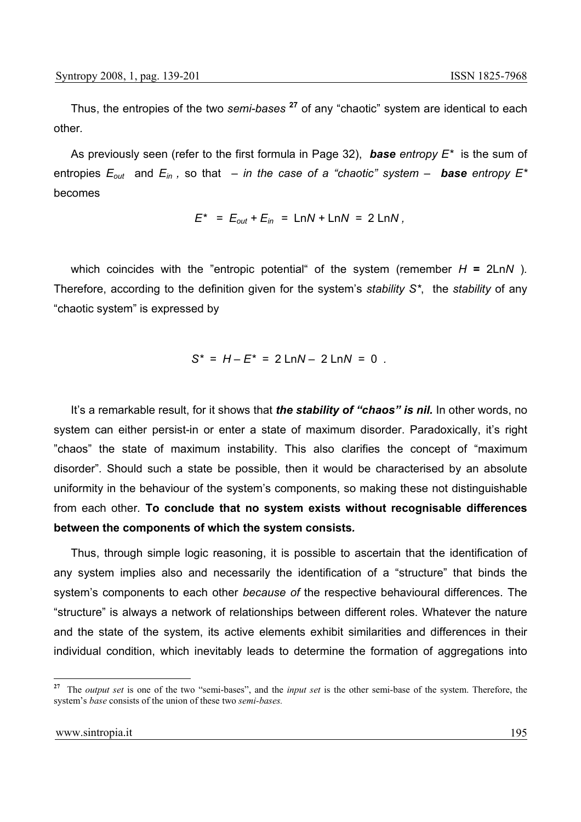Thus, the entropies of the two *semi-bases* **<sup>27</sup>** of any "chaotic" system are identical to each other*.*

As previously seen (refer to the first formula in Page 32), *base entropy E\** is the sum of entropies  $E_{out}$  and  $E_{in}$ , so that – *in the case of a "chaotic" system* – **base** entropy  $E^*$ becomes

$$
E^* = E_{out} + E_{in} = LnN + LnN = 2 LnN
$$
,

which coincides with the "entropic potential" of the system (remember  $H = 2 \text{Ln}N$ ). Therefore, according to the definition given for the system's *stability S\**, the *stability* of any "chaotic system" is expressed by

$$
S^* = H - E^* = 2 \text{Ln}N - 2 \text{Ln}N = 0.
$$

It's a remarkable result, for it shows that *the stability of "chaos" is nil.* In other words, no system can either persist-in or enter a state of maximum disorder. Paradoxically, it's right "chaos" the state of maximum instability. This also clarifies the concept of "maximum disorder"*.* Should such a state be possible, then it would be characterised by an absolute uniformity in the behaviour of the system's components, so making these not distinguishable from each other*.* **To conclude that no system exists without recognisable differences between the components of which the system consists***.*

Thus, through simple logic reasoning, it is possible to ascertain that the identification of any system implies also and necessarily the identification of a "structure" that binds the system's components to each other *because of* the respective behavioural differences. The "structure" is always a network of relationships between different roles. Whatever the nature and the state of the system, its active elements exhibit similarities and differences in their individual condition, which inevitably leads to determine the formation of aggregations into

**<sup>27</sup>** The *output set* is one of the two "semi-bases", and the *input set* is the other semi-base of the system. Therefore, the system's *base* consists of the union of these two *semi-bases.*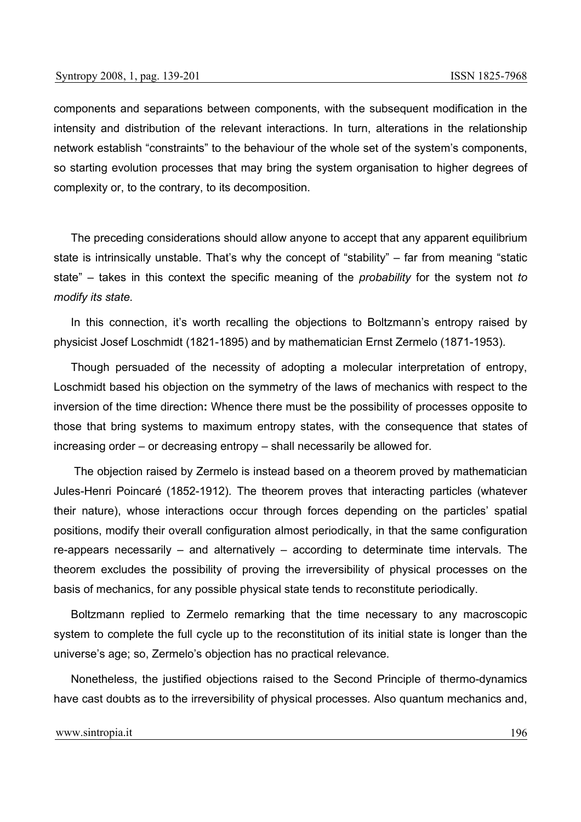components and separations between components, with the subsequent modification in the intensity and distribution of the relevant interactions. In turn, alterations in the relationship network establish "constraints" to the behaviour of the whole set of the system's components, so starting evolution processes that may bring the system organisation to higher degrees of complexity or, to the contrary, to its decomposition.

The preceding considerations should allow anyone to accept that any apparent equilibrium state is intrinsically unstable. That's why the concept of "stability" – far from meaning "static state" – takes in this context the specific meaning of the *probability* for the system not *to modify its state.*

In this connection, it's worth recalling the objections to Boltzmann's entropy raised by physicist Josef Loschmidt (1821-1895) and by mathematician Ernst Zermelo (1871-1953)*.*

Though persuaded of the necessity of adopting a molecular interpretation of entropy, Loschmidt based his objection on the symmetry of the laws of mechanics with respect to the inversion of the time direction**:** Whence there must be the possibility of processes opposite to those that bring systems to maximum entropy states, with the consequence that states of increasing order – or decreasing entropy – shall necessarily be allowed for*.*

 The objection raised by Zermelo is instead based on a theorem proved by mathematician Jules-Henri Poincaré (1852-1912)*.* The theorem proves that interacting particles (whatever their nature), whose interactions occur through forces depending on the particles' spatial positions, modify their overall configuration almost periodically, in that the same configuration re-appears necessarily – and alternatively – according to determinate time intervals*.* The theorem excludes the possibility of proving the irreversibility of physical processes on the basis of mechanics, for any possible physical state tends to reconstitute periodically.

Boltzmann replied to Zermelo remarking that the time necessary to any macroscopic system to complete the full cycle up to the reconstitution of its initial state is longer than the universe's age; so, Zermelo's objection has no practical relevance*.*

Nonetheless, the justified objections raised to the Second Principle of thermo-dynamics have cast doubts as to the irreversibility of physical processes*.* Also quantum mechanics and,

www.sintropia.it 196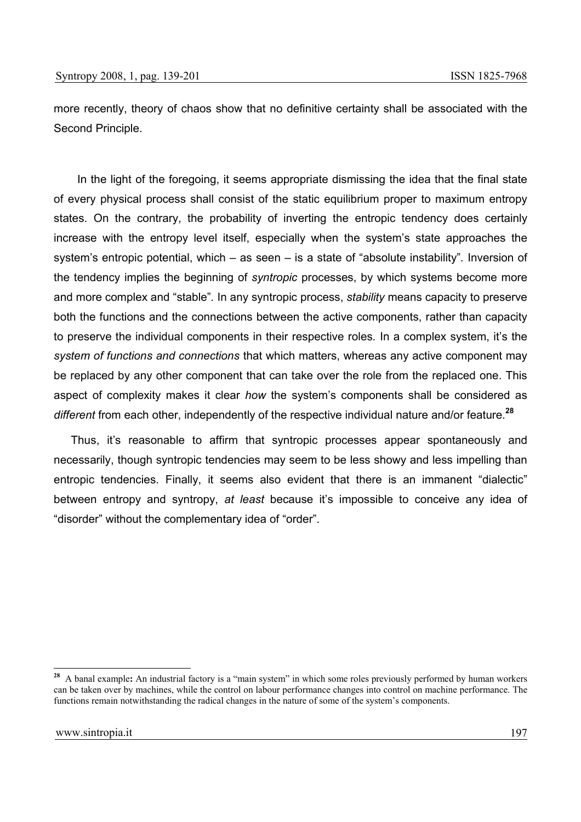more recently, theory of chaos show that no definitive certainty shall be associated with the Second Principle.

 In the light of the foregoing, it seems appropriate dismissing the idea that the final state of every physical process shall consist of the static equilibrium proper to maximum entropy states. On the contrary, the probability of inverting the entropic tendency does certainly increase with the entropy level itself, especially when the system's state approaches the system's entropic potential, which – as seen – is a state of "absolute instability"*.* Inversion of the tendency implies the beginning of *syntropic* processes, by which systems become more and more complex and "stable"*.* In any syntropic process, *stability* means capacity to preserve both the functions and the connections between the active components, rather than capacity to preserve the individual components in their respective roles*.* In a complex system, it's the *system of functions and connections* that which matters, whereas any active component may be replaced by any other component that can take over the role from the replaced one. This aspect of complexity makes it clear *how* the system's components shall be considered as *different* from each other, independently of the respective individual nature and/or feature*.* **<sup>28</sup>**

Thus, it's reasonable to affirm that syntropic processes appear spontaneously and necessarily, though syntropic tendencies may seem to be less showy and less impelling than entropic tendencies. Finally, it seems also evident that there is an immanent "dialectic" between entropy and syntropy, *at least* because it's impossible to conceive any idea of "disorder" without the complementary idea of "order"*.*

**<sup>28</sup>** A banal example**:** An industrial factory is a "main system" in which some roles previously performed by human workers can be taken over by machines, while the control on labour performance changes into control on machine performance. The functions remain notwithstanding the radical changes in the nature of some of the system's components.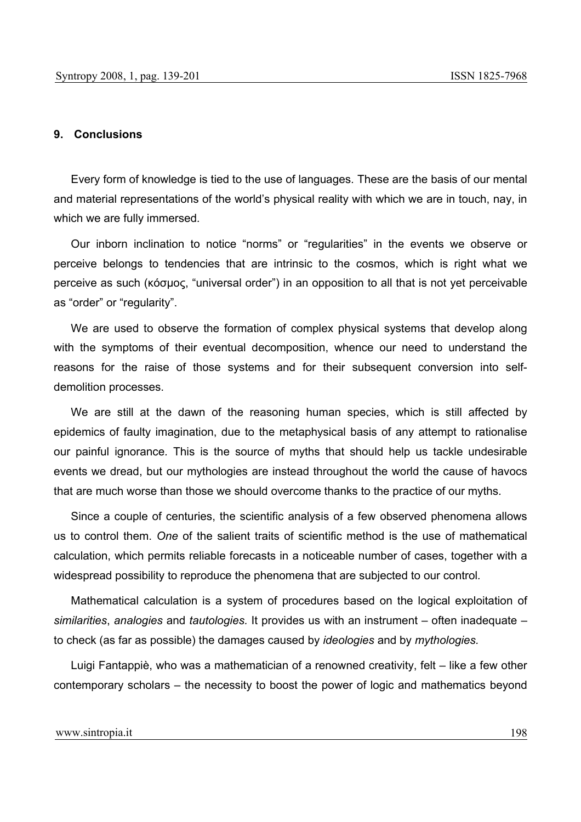#### **9. Conclusions**

Every form of knowledge is tied to the use of languages*.* These are the basis of our mental and material representations of the world's physical reality with which we are in touch, nay, in which we are fully immersed*.*

Our inborn inclination to notice "norms" or "regularities" in the events we observe or perceive belongs to tendencies that are intrinsic to the cosmos, which is right what we perceive as such (κόσµος, "universal order") in an opposition to all that is not yet perceivable as "order" or "regularity".

We are used to observe the formation of complex physical systems that develop along with the symptoms of their eventual decomposition, whence our need to understand the reasons for the raise of those systems and for their subsequent conversion into selfdemolition processes.

We are still at the dawn of the reasoning human species, which is still affected by epidemics of faulty imagination, due to the metaphysical basis of any attempt to rationalise our painful ignorance*.* This is the source of myths that should help us tackle undesirable events we dread, but our mythologies are instead throughout the world the cause of havocs that are much worse than those we should overcome thanks to the practice of our myths*.*

Since a couple of centuries, the scientific analysis of a few observed phenomena allows us to control them. *One* of the salient traits of scientific method is the use of mathematical calculation, which permits reliable forecasts in a noticeable number of cases, together with a widespread possibility to reproduce the phenomena that are subjected to our control*.*

Mathematical calculation is a system of procedures based on the logical exploitation of *similarities*, *analogies* and *tautologies.* It provides us with an instrument – often inadequate – to check (as far as possible) the damages caused by *ideologies* and by *mythologies.*

Luigi Fantappiè, who was a mathematician of a renowned creativity, felt – like a few other contemporary scholars – the necessity to boost the power of logic and mathematics beyond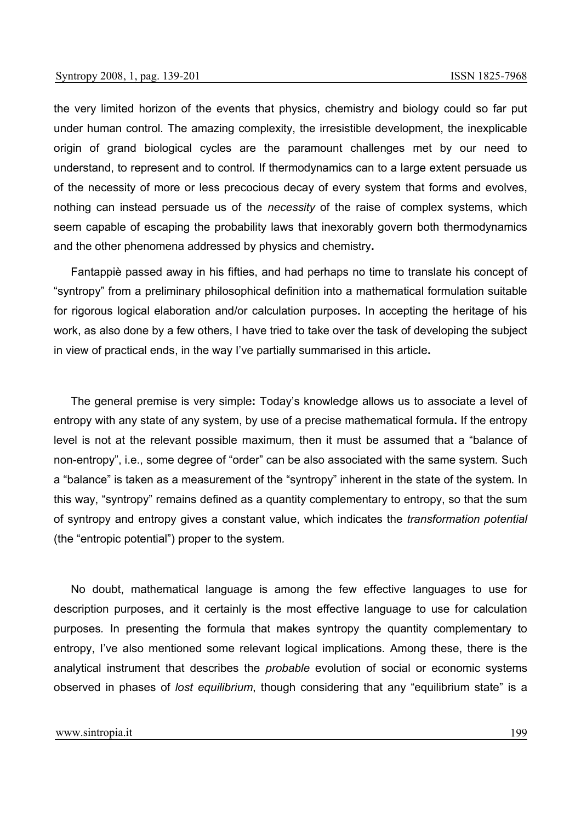the very limited horizon of the events that physics, chemistry and biology could so far put under human control*.* The amazing complexity, the irresistible development, the inexplicable origin of grand biological cycles are the paramount challenges met by our need to understand, to represent and to control*.* If thermodynamics can to a large extent persuade us of the necessity of more or less precocious decay of every system that forms and evolves, nothing can instead persuade us of the *necessity* of the raise of complex systems, which seem capable of escaping the probability laws that inexorably govern both thermodynamics and the other phenomena addressed by physics and chemistry**.**

Fantappiè passed away in his fifties, and had perhaps no time to translate his concept of "syntropy" from a preliminary philosophical definition into a mathematical formulation suitable for rigorous logical elaboration and/or calculation purposes**.** In accepting the heritage of his work, as also done by a few others, I have tried to take over the task of developing the subject in view of practical ends, in the way I've partially summarised in this article**.**

The general premise is very simple**:** Today's knowledge allows us to associate a level of entropy with any state of any system, by use of a precise mathematical formula**.** If the entropy level is not at the relevant possible maximum, then it must be assumed that a "balance of non-entropy", i.e., some degree of "order" can be also associated with the same system*.* Such a "balance" is taken as a measurement of the "syntropy" inherent in the state of the system*.* In this way, "syntropy" remains defined as a quantity complementary to entropy, so that the sum of syntropy and entropy gives a constant value, which indicates the *transformation potential* (the "entropic potential") proper to the system*.* 

No doubt, mathematical language is among the few effective languages to use for description purposes, and it certainly is the most effective language to use for calculation purposes*.* In presenting the formula that makes syntropy the quantity complementary to entropy, I've also mentioned some relevant logical implications*.* Among these, there is the analytical instrument that describes the *probable* evolution of social or economic systems observed in phases of *lost equilibrium*, though considering that any "equilibrium state" is a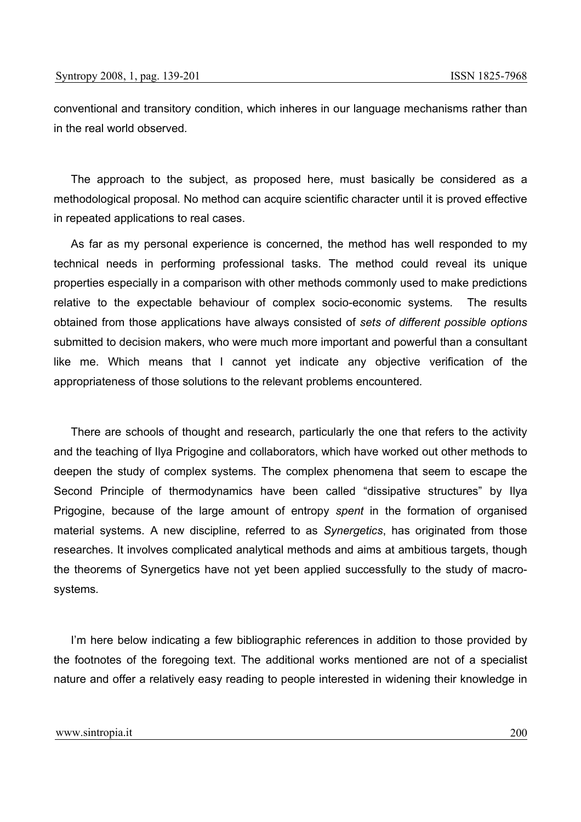conventional and transitory condition, which inheres in our language mechanisms rather than in the real world observed*.*

The approach to the subject, as proposed here, must basically be considered as a methodological proposal*.* No method can acquire scientific character until it is proved effective in repeated applications to real cases.

As far as my personal experience is concerned, the method has well responded to my technical needs in performing professional tasks. The method could reveal its unique properties especially in a comparison with other methods commonly used to make predictions relative to the expectable behaviour of complex socio-economic systems*.* The results obtained from those applications have always consisted of *sets of different possible options* submitted to decision makers, who were much more important and powerful than a consultant like me. Which means that I cannot yet indicate any objective verification of the appropriateness of those solutions to the relevant problems encountered*.*

There are schools of thought and research, particularly the one that refers to the activity and the teaching of Ilya Prigogine and collaborators, which have worked out other methods to deepen the study of complex systems*.* The complex phenomena that seem to escape the Second Principle of thermodynamics have been called "dissipative structures" by Ilya Prigogine, because of the large amount of entropy *spent* in the formation of organised material systems*.* A new discipline, referred to as *Synergetics*, has originated from those researches. It involves complicated analytical methods and aims at ambitious targets, though the theorems of Synergetics have not yet been applied successfully to the study of macrosystems*.*

I'm here below indicating a few bibliographic references in addition to those provided by the footnotes of the foregoing text. The additional works mentioned are not of a specialist nature and offer a relatively easy reading to people interested in widening their knowledge in